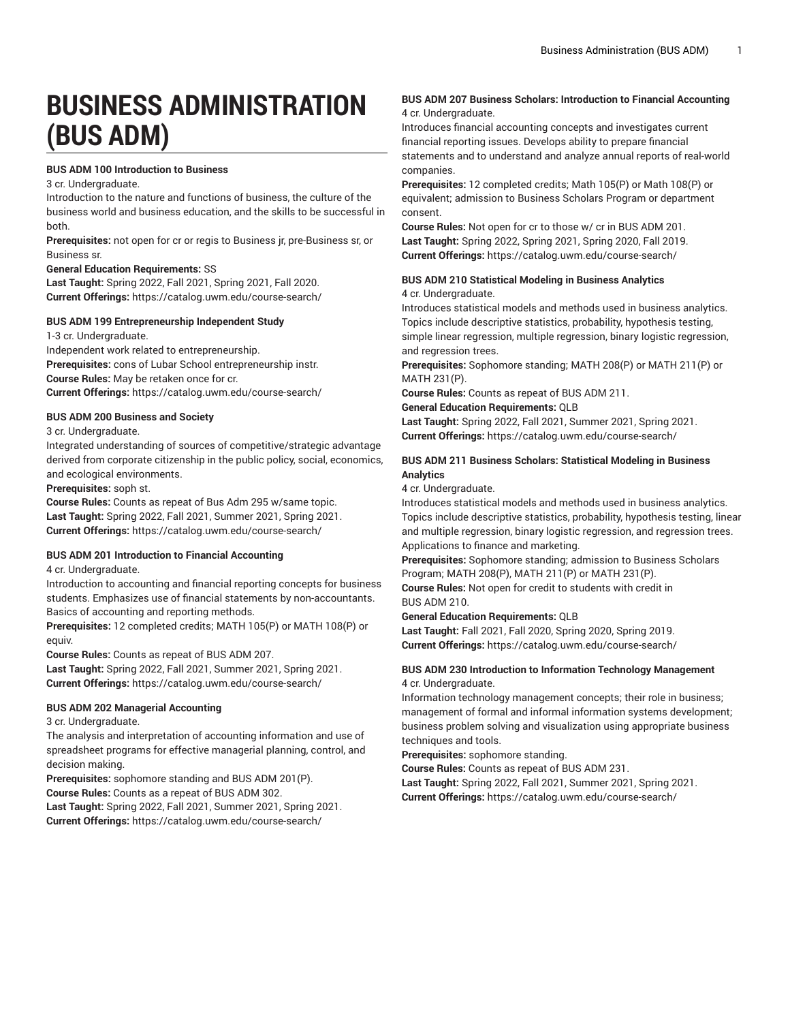# **BUSINESS ADMINISTRATION (BUS ADM)**

#### **BUS ADM 100 Introduction to Business**

3 cr. Undergraduate.

Introduction to the nature and functions of business, the culture of the business world and business education, and the skills to be successful in both.

**Prerequisites:** not open for cr or regis to Business jr, pre-Business sr, or Business sr.

#### **General Education Requirements:** SS

**Last Taught:** Spring 2022, Fall 2021, Spring 2021, Fall 2020. **Current Offerings:** <https://catalog.uwm.edu/course-search/>

#### **BUS ADM 199 Entrepreneurship Independent Study**

1-3 cr. Undergraduate.

Independent work related to entrepreneurship. **Prerequisites:** cons of Lubar School entrepreneurship instr. **Course Rules:** May be retaken once for cr. **Current Offerings:** <https://catalog.uwm.edu/course-search/>

#### **BUS ADM 200 Business and Society**

#### 3 cr. Undergraduate.

Integrated understanding of sources of competitive/strategic advantage derived from corporate citizenship in the public policy, social, economics, and ecological environments.

**Prerequisites:** soph st.

**Course Rules:** Counts as repeat of Bus Adm 295 w/same topic. **Last Taught:** Spring 2022, Fall 2021, Summer 2021, Spring 2021. **Current Offerings:** <https://catalog.uwm.edu/course-search/>

#### **BUS ADM 201 Introduction to Financial Accounting**

4 cr. Undergraduate.

Introduction to accounting and financial reporting concepts for business students. Emphasizes use of financial statements by non-accountants. Basics of accounting and reporting methods.

**Prerequisites:** 12 completed credits; MATH 105(P) or MATH 108(P) or equiv.

**Course Rules:** Counts as repeat of BUS ADM 207.

**Last Taught:** Spring 2022, Fall 2021, Summer 2021, Spring 2021. **Current Offerings:** <https://catalog.uwm.edu/course-search/>

#### **BUS ADM 202 Managerial Accounting**

3 cr. Undergraduate.

The analysis and interpretation of accounting information and use of spreadsheet programs for effective managerial planning, control, and decision making.

**Prerequisites:** sophomore standing and BUS ADM 201(P). **Course Rules:** Counts as a repeat of BUS ADM 302.

**Last Taught:** Spring 2022, Fall 2021, Summer 2021, Spring 2021. **Current Offerings:** <https://catalog.uwm.edu/course-search/>

#### **BUS ADM 207 Business Scholars: Introduction to Financial Accounting** 4 cr. Undergraduate.

Introduces financial accounting concepts and investigates current financial reporting issues. Develops ability to prepare financial statements and to understand and analyze annual reports of real-world companies.

**Prerequisites:** 12 completed credits; Math 105(P) or Math 108(P) or equivalent; admission to Business Scholars Program or department consent.

**Course Rules:** Not open for cr to those w/ cr in BUS ADM 201. **Last Taught:** Spring 2022, Spring 2021, Spring 2020, Fall 2019. **Current Offerings:** <https://catalog.uwm.edu/course-search/>

# **BUS ADM 210 Statistical Modeling in Business Analytics**

4 cr. Undergraduate.

Introduces statistical models and methods used in business analytics. Topics include descriptive statistics, probability, hypothesis testing, simple linear regression, multiple regression, binary logistic regression, and regression trees.

**Prerequisites:** Sophomore standing; MATH 208(P) or MATH 211(P) or MATH 231(P).

**Course Rules:** Counts as repeat of BUS ADM 211.

**General Education Requirements:** QLB

**Last Taught:** Spring 2022, Fall 2021, Summer 2021, Spring 2021. **Current Offerings:** <https://catalog.uwm.edu/course-search/>

#### **BUS ADM 211 Business Scholars: Statistical Modeling in Business Analytics**

4 cr. Undergraduate.

Introduces statistical models and methods used in business analytics. Topics include descriptive statistics, probability, hypothesis testing, linear and multiple regression, binary logistic regression, and regression trees. Applications to finance and marketing.

**Prerequisites:** Sophomore standing; admission to Business Scholars Program; MATH 208(P), MATH 211(P) or MATH 231(P).

**Course Rules:** Not open for credit to students with credit in BUS ADM 210.

#### **General Education Requirements:** QLB

**Last Taught:** Fall 2021, Fall 2020, Spring 2020, Spring 2019. **Current Offerings:** <https://catalog.uwm.edu/course-search/>

#### **BUS ADM 230 Introduction to Information Technology Management** 4 cr. Undergraduate.

Information technology management concepts; their role in business; management of formal and informal information systems development; business problem solving and visualization using appropriate business techniques and tools.

**Prerequisites:** sophomore standing.

**Course Rules:** Counts as repeat of BUS ADM 231.

**Last Taught:** Spring 2022, Fall 2021, Summer 2021, Spring 2021. **Current Offerings:** <https://catalog.uwm.edu/course-search/>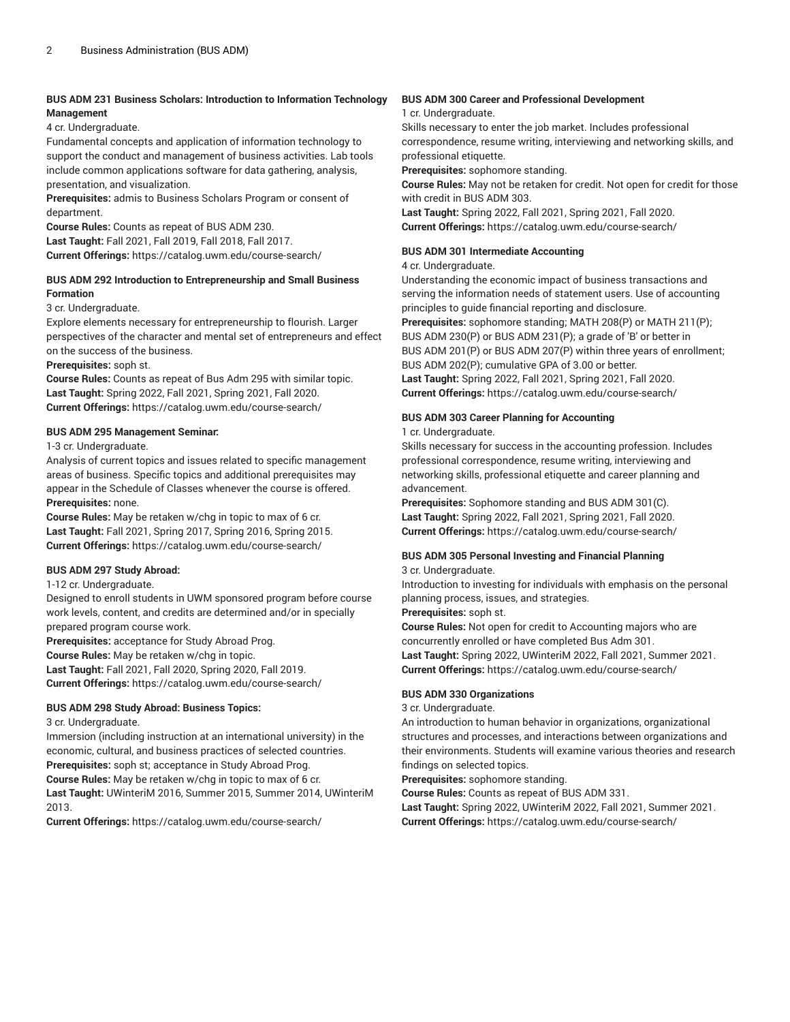#### **BUS ADM 231 Business Scholars: Introduction to Information Technology Management**

4 cr. Undergraduate.

Fundamental concepts and application of information technology to support the conduct and management of business activities. Lab tools include common applications software for data gathering, analysis, presentation, and visualization.

**Prerequisites:** admis to Business Scholars Program or consent of department.

**Course Rules:** Counts as repeat of BUS ADM 230.

**Last Taught:** Fall 2021, Fall 2019, Fall 2018, Fall 2017. **Current Offerings:** <https://catalog.uwm.edu/course-search/>

#### **BUS ADM 292 Introduction to Entrepreneurship and Small Business Formation**

3 cr. Undergraduate.

Explore elements necessary for entrepreneurship to flourish. Larger perspectives of the character and mental set of entrepreneurs and effect on the success of the business.

**Prerequisites:** soph st.

**Course Rules:** Counts as repeat of Bus Adm 295 with similar topic. **Last Taught:** Spring 2022, Fall 2021, Spring 2021, Fall 2020. **Current Offerings:** <https://catalog.uwm.edu/course-search/>

#### **BUS ADM 295 Management Seminar:**

1-3 cr. Undergraduate.

Analysis of current topics and issues related to specific management areas of business. Specific topics and additional prerequisites may appear in the Schedule of Classes whenever the course is offered. **Prerequisites:** none.

**Course Rules:** May be retaken w/chg in topic to max of 6 cr. **Last Taught:** Fall 2021, Spring 2017, Spring 2016, Spring 2015. **Current Offerings:** <https://catalog.uwm.edu/course-search/>

#### **BUS ADM 297 Study Abroad:**

1-12 cr. Undergraduate.

Designed to enroll students in UWM sponsored program before course work levels, content, and credits are determined and/or in specially prepared program course work.

**Prerequisites:** acceptance for Study Abroad Prog.

**Course Rules:** May be retaken w/chg in topic.

**Last Taught:** Fall 2021, Fall 2020, Spring 2020, Fall 2019. **Current Offerings:** <https://catalog.uwm.edu/course-search/>

#### **BUS ADM 298 Study Abroad: Business Topics:**

3 cr. Undergraduate.

Immersion (including instruction at an international university) in the economic, cultural, and business practices of selected countries. **Prerequisites:** soph st; acceptance in Study Abroad Prog.

**Course Rules:** May be retaken w/chg in topic to max of 6 cr. **Last Taught:** UWinteriM 2016, Summer 2015, Summer 2014, UWinteriM 2013.

**Current Offerings:** <https://catalog.uwm.edu/course-search/>

#### **BUS ADM 300 Career and Professional Development**

#### 1 cr. Undergraduate.

Skills necessary to enter the job market. Includes professional correspondence, resume writing, interviewing and networking skills, and professional etiquette.

**Prerequisites:** sophomore standing.

**Course Rules:** May not be retaken for credit. Not open for credit for those with credit in BUS ADM 303.

**Last Taught:** Spring 2022, Fall 2021, Spring 2021, Fall 2020. **Current Offerings:** <https://catalog.uwm.edu/course-search/>

#### **BUS ADM 301 Intermediate Accounting**

4 cr. Undergraduate.

Understanding the economic impact of business transactions and serving the information needs of statement users. Use of accounting principles to guide financial reporting and disclosure.

**Prerequisites:** sophomore standing; MATH 208(P) or MATH 211(P); BUS ADM 230(P) or BUS ADM 231(P); a grade of 'B' or better in BUS ADM 201(P) or BUS ADM 207(P) within three years of enrollment; BUS ADM 202(P); cumulative GPA of 3.00 or better.

**Last Taught:** Spring 2022, Fall 2021, Spring 2021, Fall 2020. **Current Offerings:** <https://catalog.uwm.edu/course-search/>

#### **BUS ADM 303 Career Planning for Accounting**

1 cr. Undergraduate.

Skills necessary for success in the accounting profession. Includes professional correspondence, resume writing, interviewing and networking skills, professional etiquette and career planning and advancement.

**Prerequisites:** Sophomore standing and BUS ADM 301(C). **Last Taught:** Spring 2022, Fall 2021, Spring 2021, Fall 2020. **Current Offerings:** <https://catalog.uwm.edu/course-search/>

# **BUS ADM 305 Personal Investing and Financial Planning**

### 3 cr. Undergraduate.

Introduction to investing for individuals with emphasis on the personal planning process, issues, and strategies.

#### **Prerequisites:** soph st.

**Course Rules:** Not open for credit to Accounting majors who are concurrently enrolled or have completed Bus Adm 301. **Last Taught:** Spring 2022, UWinteriM 2022, Fall 2021, Summer 2021. **Current Offerings:** <https://catalog.uwm.edu/course-search/>

#### **BUS ADM 330 Organizations**

#### 3 cr. Undergraduate.

An introduction to human behavior in organizations, organizational structures and processes, and interactions between organizations and their environments. Students will examine various theories and research findings on selected topics.

**Prerequisites:** sophomore standing.

**Course Rules:** Counts as repeat of BUS ADM 331.

**Last Taught:** Spring 2022, UWinteriM 2022, Fall 2021, Summer 2021. **Current Offerings:** <https://catalog.uwm.edu/course-search/>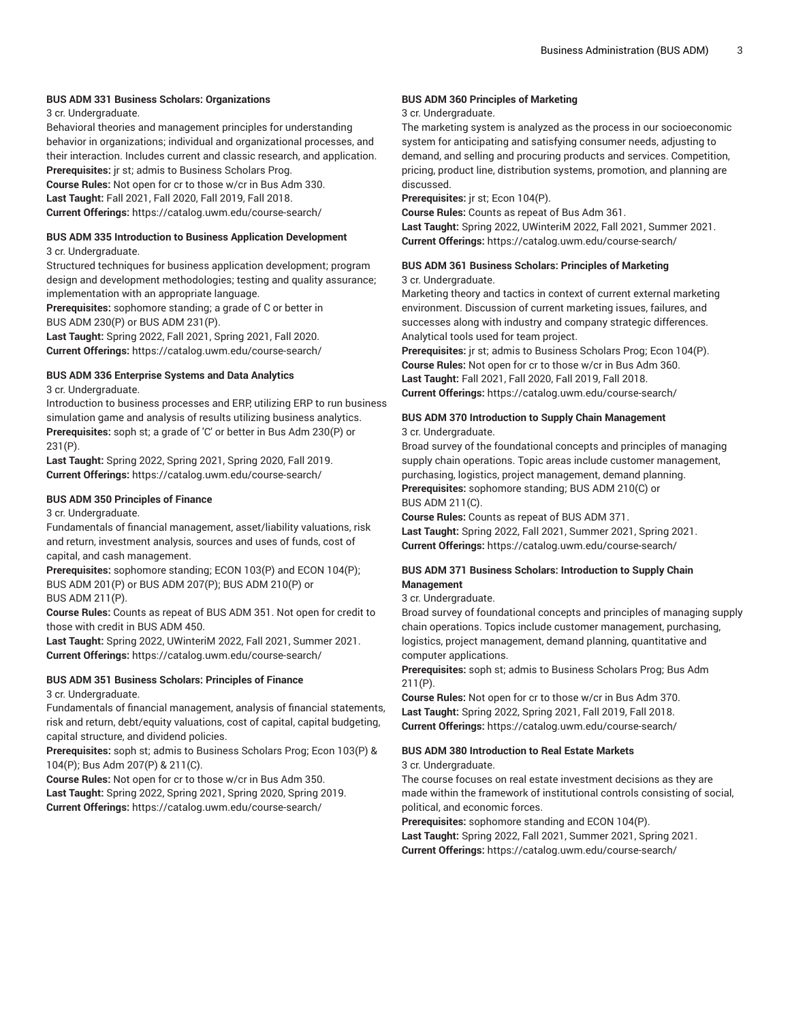#### **BUS ADM 331 Business Scholars: Organizations**

3 cr. Undergraduate.

Behavioral theories and management principles for understanding behavior in organizations; individual and organizational processes, and their interaction. Includes current and classic research, and application. **Prerequisites:** jr st; admis to Business Scholars Prog.

**Course Rules:** Not open for cr to those w/cr in Bus Adm 330. **Last Taught:** Fall 2021, Fall 2020, Fall 2019, Fall 2018. **Current Offerings:** <https://catalog.uwm.edu/course-search/>

#### **BUS ADM 335 Introduction to Business Application Development**

#### 3 cr. Undergraduate.

Structured techniques for business application development; program design and development methodologies; testing and quality assurance; implementation with an appropriate language.

**Prerequisites:** sophomore standing; a grade of C or better in BUS ADM 230(P) or BUS ADM 231(P).

**Last Taught:** Spring 2022, Fall 2021, Spring 2021, Fall 2020. **Current Offerings:** <https://catalog.uwm.edu/course-search/>

#### **BUS ADM 336 Enterprise Systems and Data Analytics**

3 cr. Undergraduate.

Introduction to business processes and ERP, utilizing ERP to run business simulation game and analysis of results utilizing business analytics. **Prerequisites:** soph st; a grade of 'C' or better in Bus Adm 230(P) or 231(P).

**Last Taught:** Spring 2022, Spring 2021, Spring 2020, Fall 2019. **Current Offerings:** <https://catalog.uwm.edu/course-search/>

#### **BUS ADM 350 Principles of Finance**

3 cr. Undergraduate.

Fundamentals of financial management, asset/liability valuations, risk and return, investment analysis, sources and uses of funds, cost of capital, and cash management.

**Prerequisites:** sophomore standing; ECON 103(P) and ECON 104(P); BUS ADM 201(P) or BUS ADM 207(P); BUS ADM 210(P) or BUS ADM 211(P).

**Course Rules:** Counts as repeat of BUS ADM 351. Not open for credit to those with credit in BUS ADM 450.

**Last Taught:** Spring 2022, UWinteriM 2022, Fall 2021, Summer 2021. **Current Offerings:** <https://catalog.uwm.edu/course-search/>

#### **BUS ADM 351 Business Scholars: Principles of Finance**

3 cr. Undergraduate.

Fundamentals of financial management, analysis of financial statements, risk and return, debt/equity valuations, cost of capital, capital budgeting, capital structure, and dividend policies.

**Prerequisites:** soph st; admis to Business Scholars Prog; Econ 103(P) & 104(P); Bus Adm 207(P) & 211(C).

**Course Rules:** Not open for cr to those w/cr in Bus Adm 350. **Last Taught:** Spring 2022, Spring 2021, Spring 2020, Spring 2019. **Current Offerings:** <https://catalog.uwm.edu/course-search/>

#### **BUS ADM 360 Principles of Marketing**

#### 3 cr. Undergraduate.

The marketing system is analyzed as the process in our socioeconomic system for anticipating and satisfying consumer needs, adjusting to demand, and selling and procuring products and services. Competition, pricing, product line, distribution systems, promotion, and planning are discussed.

**Prerequisites:** jr st; Econ 104(P).

**Course Rules:** Counts as repeat of Bus Adm 361. **Last Taught:** Spring 2022, UWinteriM 2022, Fall 2021, Summer 2021. **Current Offerings:** <https://catalog.uwm.edu/course-search/>

#### **BUS ADM 361 Business Scholars: Principles of Marketing** 3 cr. Undergraduate.

Marketing theory and tactics in context of current external marketing environment. Discussion of current marketing issues, failures, and successes along with industry and company strategic differences. Analytical tools used for team project.

**Prerequisites:** jr st; admis to Business Scholars Prog; Econ 104(P). **Course Rules:** Not open for cr to those w/cr in Bus Adm 360. **Last Taught:** Fall 2021, Fall 2020, Fall 2019, Fall 2018. **Current Offerings:** <https://catalog.uwm.edu/course-search/>

**BUS ADM 370 Introduction to Supply Chain Management** 3 cr. Undergraduate.

Broad survey of the foundational concepts and principles of managing supply chain operations. Topic areas include customer management, purchasing, logistics, project management, demand planning. **Prerequisites:** sophomore standing; BUS ADM 210(C) or BUS ADM 211(C).

**Course Rules:** Counts as repeat of BUS ADM 371. **Last Taught:** Spring 2022, Fall 2021, Summer 2021, Spring 2021. **Current Offerings:** <https://catalog.uwm.edu/course-search/>

#### **BUS ADM 371 Business Scholars: Introduction to Supply Chain Management**

#### 3 cr. Undergraduate.

Broad survey of foundational concepts and principles of managing supply chain operations. Topics include customer management, purchasing, logistics, project management, demand planning, quantitative and computer applications.

**Prerequisites:** soph st; admis to Business Scholars Prog; Bus Adm 211(P).

**Course Rules:** Not open for cr to those w/cr in Bus Adm 370. **Last Taught:** Spring 2022, Spring 2021, Fall 2019, Fall 2018. **Current Offerings:** <https://catalog.uwm.edu/course-search/>

## **BUS ADM 380 Introduction to Real Estate Markets**

#### 3 cr. Undergraduate.

The course focuses on real estate investment decisions as they are made within the framework of institutional controls consisting of social, political, and economic forces.

**Prerequisites:** sophomore standing and ECON 104(P). **Last Taught:** Spring 2022, Fall 2021, Summer 2021, Spring 2021.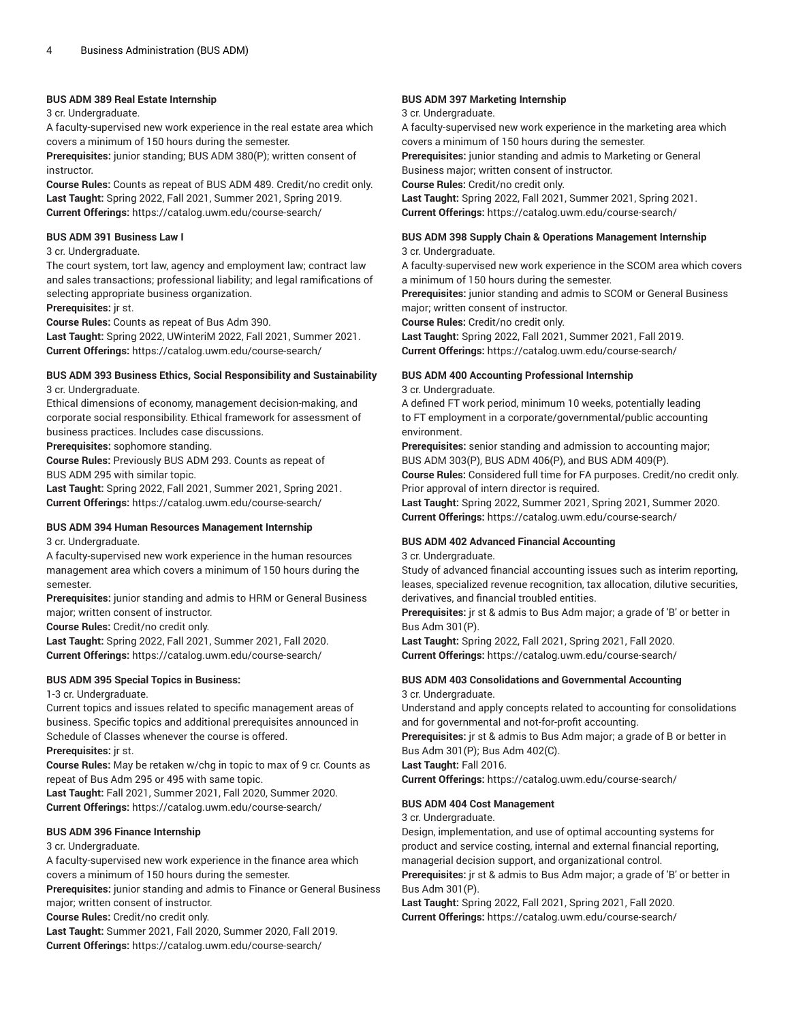#### **BUS ADM 389 Real Estate Internship**

#### 3 cr. Undergraduate.

A faculty-supervised new work experience in the real estate area which covers a minimum of 150 hours during the semester.

**Prerequisites:** junior standing; BUS ADM 380(P); written consent of instructor.

**Course Rules:** Counts as repeat of BUS ADM 489. Credit/no credit only. **Last Taught:** Spring 2022, Fall 2021, Summer 2021, Spring 2019. **Current Offerings:** <https://catalog.uwm.edu/course-search/>

#### **BUS ADM 391 Business Law I**

#### 3 cr. Undergraduate.

The court system, tort law, agency and employment law; contract law and sales transactions; professional liability; and legal ramifications of selecting appropriate business organization.

**Prerequisites:** jr st.

**Course Rules:** Counts as repeat of Bus Adm 390.

**Last Taught:** Spring 2022, UWinteriM 2022, Fall 2021, Summer 2021. **Current Offerings:** <https://catalog.uwm.edu/course-search/>

#### **BUS ADM 393 Business Ethics, Social Responsibility and Sustainability** 3 cr. Undergraduate.

Ethical dimensions of economy, management decision-making, and corporate social responsibility. Ethical framework for assessment of business practices. Includes case discussions.

**Prerequisites:** sophomore standing.

**Course Rules:** Previously BUS ADM 293. Counts as repeat of BUS ADM 295 with similar topic.

**Last Taught:** Spring 2022, Fall 2021, Summer 2021, Spring 2021. **Current Offerings:** <https://catalog.uwm.edu/course-search/>

#### **BUS ADM 394 Human Resources Management Internship**

3 cr. Undergraduate.

A faculty-supervised new work experience in the human resources management area which covers a minimum of 150 hours during the semester.

**Prerequisites:** junior standing and admis to HRM or General Business major; written consent of instructor.

**Course Rules:** Credit/no credit only.

**Last Taught:** Spring 2022, Fall 2021, Summer 2021, Fall 2020. **Current Offerings:** <https://catalog.uwm.edu/course-search/>

#### **BUS ADM 395 Special Topics in Business:**

1-3 cr. Undergraduate.

Current topics and issues related to specific management areas of business. Specific topics and additional prerequisites announced in Schedule of Classes whenever the course is offered.

#### **Prerequisites:** jr st.

**Course Rules:** May be retaken w/chg in topic to max of 9 cr. Counts as repeat of Bus Adm 295 or 495 with same topic.

**Last Taught:** Fall 2021, Summer 2021, Fall 2020, Summer 2020. **Current Offerings:** <https://catalog.uwm.edu/course-search/>

#### **BUS ADM 396 Finance Internship**

#### 3 cr. Undergraduate.

A faculty-supervised new work experience in the finance area which covers a minimum of 150 hours during the semester.

**Prerequisites:** junior standing and admis to Finance or General Business major; written consent of instructor.

**Course Rules:** Credit/no credit only.

**Last Taught:** Summer 2021, Fall 2020, Summer 2020, Fall 2019.

**Current Offerings:** <https://catalog.uwm.edu/course-search/>

#### **BUS ADM 397 Marketing Internship**

#### 3 cr. Undergraduate.

A faculty-supervised new work experience in the marketing area which covers a minimum of 150 hours during the semester.

**Prerequisites:** junior standing and admis to Marketing or General Business major; written consent of instructor.

**Course Rules:** Credit/no credit only.

**Last Taught:** Spring 2022, Fall 2021, Summer 2021, Spring 2021. **Current Offerings:** <https://catalog.uwm.edu/course-search/>

#### **BUS ADM 398 Supply Chain & Operations Management Internship** 3 cr. Undergraduate.

A faculty-supervised new work experience in the SCOM area which covers a minimum of 150 hours during the semester.

**Prerequisites:** junior standing and admis to SCOM or General Business major; written consent of instructor.

**Course Rules:** Credit/no credit only.

**Last Taught:** Spring 2022, Fall 2021, Summer 2021, Fall 2019. **Current Offerings:** <https://catalog.uwm.edu/course-search/>

#### **BUS ADM 400 Accounting Professional Internship**

3 cr. Undergraduate.

A defined FT work period, minimum 10 weeks, potentially leading to FT employment in a corporate/governmental/public accounting environment.

**Prerequisites:** senior standing and admission to accounting major; BUS ADM 303(P), BUS ADM 406(P), and BUS ADM 409(P).

**Course Rules:** Considered full time for FA purposes. Credit/no credit only. Prior approval of intern director is required.

**Last Taught:** Spring 2022, Summer 2021, Spring 2021, Summer 2020. **Current Offerings:** <https://catalog.uwm.edu/course-search/>

#### **BUS ADM 402 Advanced Financial Accounting**

3 cr. Undergraduate.

Study of advanced financial accounting issues such as interim reporting, leases, specialized revenue recognition, tax allocation, dilutive securities, derivatives, and financial troubled entities.

**Prerequisites:** jr st & admis to Bus Adm major; a grade of 'B' or better in Bus Adm 301(P).

**Last Taught:** Spring 2022, Fall 2021, Spring 2021, Fall 2020. **Current Offerings:** <https://catalog.uwm.edu/course-search/>

#### **BUS ADM 403 Consolidations and Governmental Accounting** 3 cr. Undergraduate.

Understand and apply concepts related to accounting for consolidations and for governmental and not-for-profit accounting.

**Prerequisites:** jr st & admis to Bus Adm major; a grade of B or better in Bus Adm 301(P); Bus Adm 402(C).

**Last Taught:** Fall 2016.

**Current Offerings:** <https://catalog.uwm.edu/course-search/>

#### **BUS ADM 404 Cost Management**

3 cr. Undergraduate.

Design, implementation, and use of optimal accounting systems for product and service costing, internal and external financial reporting, managerial decision support, and organizational control.

**Prerequisites:** jr st & admis to Bus Adm major; a grade of 'B' or better in Bus Adm 301(P).

**Last Taught:** Spring 2022, Fall 2021, Spring 2021, Fall 2020. **Current Offerings:** <https://catalog.uwm.edu/course-search/>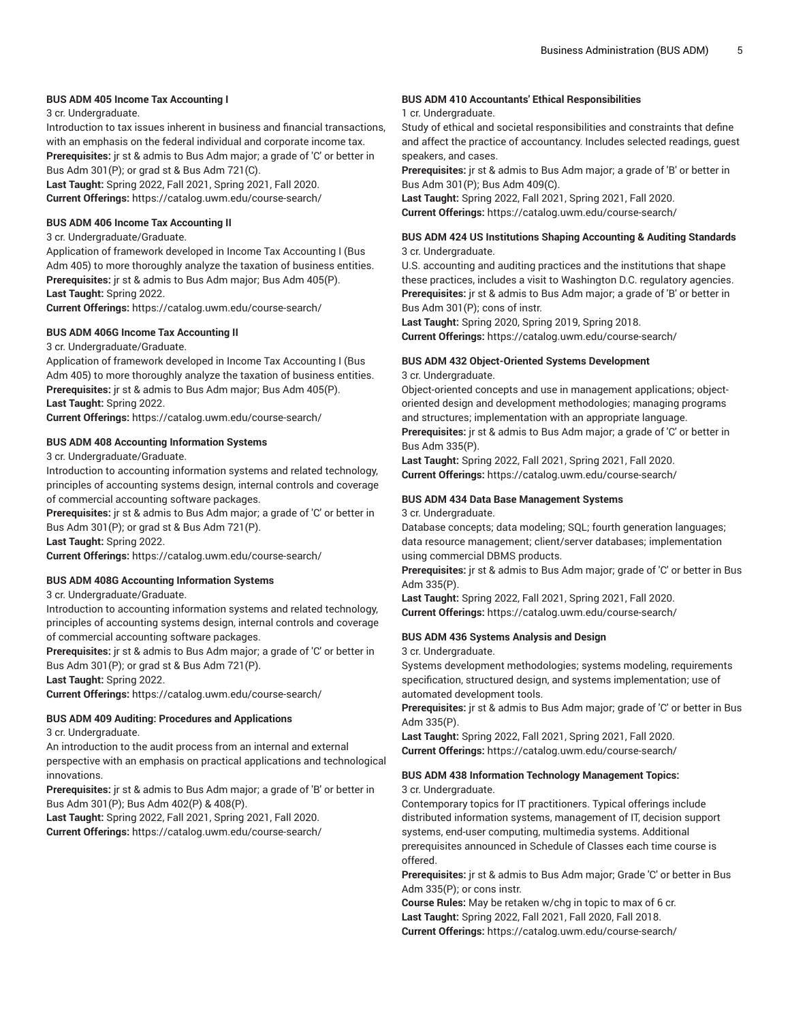#### **BUS ADM 405 Income Tax Accounting I**

3 cr. Undergraduate.

Introduction to tax issues inherent in business and financial transactions, with an emphasis on the federal individual and corporate income tax.

**Prerequisites:** jr st & admis to Bus Adm major; a grade of 'C' or better in Bus Adm 301(P); or grad st & Bus Adm 721(C).

**Last Taught:** Spring 2022, Fall 2021, Spring 2021, Fall 2020. **Current Offerings:** <https://catalog.uwm.edu/course-search/>

#### **BUS ADM 406 Income Tax Accounting II**

3 cr. Undergraduate/Graduate.

Application of framework developed in Income Tax Accounting I (Bus Adm 405) to more thoroughly analyze the taxation of business entities. **Prerequisites:** jr st & admis to Bus Adm major; Bus Adm 405(P). **Last Taught:** Spring 2022.

**Current Offerings:** <https://catalog.uwm.edu/course-search/>

#### **BUS ADM 406G Income Tax Accounting II**

3 cr. Undergraduate/Graduate.

Application of framework developed in Income Tax Accounting I (Bus Adm 405) to more thoroughly analyze the taxation of business entities. **Prerequisites:** jr st & admis to Bus Adm major; Bus Adm 405(P). **Last Taught:** Spring 2022.

**Current Offerings:** <https://catalog.uwm.edu/course-search/>

#### **BUS ADM 408 Accounting Information Systems**

3 cr. Undergraduate/Graduate.

Introduction to accounting information systems and related technology, principles of accounting systems design, internal controls and coverage of commercial accounting software packages.

**Prerequisites:** jr st & admis to Bus Adm major; a grade of 'C' or better in Bus Adm 301(P); or grad st & Bus Adm 721(P).

**Last Taught:** Spring 2022.

**Current Offerings:** <https://catalog.uwm.edu/course-search/>

#### **BUS ADM 408G Accounting Information Systems**

3 cr. Undergraduate/Graduate.

Introduction to accounting information systems and related technology, principles of accounting systems design, internal controls and coverage of commercial accounting software packages.

**Prerequisites:** jr st & admis to Bus Adm major; a grade of 'C' or better in Bus Adm 301(P); or grad st & Bus Adm 721(P).

**Last Taught:** Spring 2022.

**Current Offerings:** <https://catalog.uwm.edu/course-search/>

#### **BUS ADM 409 Auditing: Procedures and Applications**

3 cr. Undergraduate.

An introduction to the audit process from an internal and external perspective with an emphasis on practical applications and technological innovations.

**Prerequisites:** jr st & admis to Bus Adm major; a grade of 'B' or better in Bus Adm 301(P); Bus Adm 402(P) & 408(P).

**Last Taught:** Spring 2022, Fall 2021, Spring 2021, Fall 2020. **Current Offerings:** <https://catalog.uwm.edu/course-search/>

#### **BUS ADM 410 Accountants' Ethical Responsibilities**

#### 1 cr. Undergraduate.

Study of ethical and societal responsibilities and constraints that define and affect the practice of accountancy. Includes selected readings, guest speakers, and cases.

**Prerequisites:** jr st & admis to Bus Adm major; a grade of 'B' or better in Bus Adm 301(P); Bus Adm 409(C).

**Last Taught:** Spring 2022, Fall 2021, Spring 2021, Fall 2020. **Current Offerings:** <https://catalog.uwm.edu/course-search/>

#### **BUS ADM 424 US Institutions Shaping Accounting & Auditing Standards** 3 cr. Undergraduate.

U.S. accounting and auditing practices and the institutions that shape these practices, includes a visit to Washington D.C. regulatory agencies. **Prerequisites:** jr st & admis to Bus Adm major; a grade of 'B' or better in Bus Adm 301(P); cons of instr.

**Last Taught:** Spring 2020, Spring 2019, Spring 2018. **Current Offerings:** <https://catalog.uwm.edu/course-search/>

#### **BUS ADM 432 Object-Oriented Systems Development**

3 cr. Undergraduate.

Object-oriented concepts and use in management applications; objectoriented design and development methodologies; managing programs and structures; implementation with an appropriate language.

**Prerequisites:** jr st & admis to Bus Adm major; a grade of 'C' or better in Bus Adm 335(P).

**Last Taught:** Spring 2022, Fall 2021, Spring 2021, Fall 2020. **Current Offerings:** <https://catalog.uwm.edu/course-search/>

#### **BUS ADM 434 Data Base Management Systems**

3 cr. Undergraduate.

Database concepts; data modeling; SQL; fourth generation languages; data resource management; client/server databases; implementation using commercial DBMS products.

**Prerequisites:** jr st & admis to Bus Adm major; grade of 'C' or better in Bus Adm 335(P).

**Last Taught:** Spring 2022, Fall 2021, Spring 2021, Fall 2020. **Current Offerings:** <https://catalog.uwm.edu/course-search/>

#### **BUS ADM 436 Systems Analysis and Design**

3 cr. Undergraduate.

Systems development methodologies; systems modeling, requirements specification, structured design, and systems implementation; use of automated development tools.

**Prerequisites:** jr st & admis to Bus Adm major; grade of 'C' or better in Bus Adm 335(P).

**Last Taught:** Spring 2022, Fall 2021, Spring 2021, Fall 2020. **Current Offerings:** <https://catalog.uwm.edu/course-search/>

#### **BUS ADM 438 Information Technology Management Topics:**

3 cr. Undergraduate.

Contemporary topics for IT practitioners. Typical offerings include distributed information systems, management of IT, decision support systems, end-user computing, multimedia systems. Additional prerequisites announced in Schedule of Classes each time course is offered.

**Prerequisites:** jr st & admis to Bus Adm major; Grade 'C' or better in Bus Adm 335(P); or cons instr.

**Course Rules:** May be retaken w/chg in topic to max of 6 cr. **Last Taught:** Spring 2022, Fall 2021, Fall 2020, Fall 2018. **Current Offerings:** <https://catalog.uwm.edu/course-search/>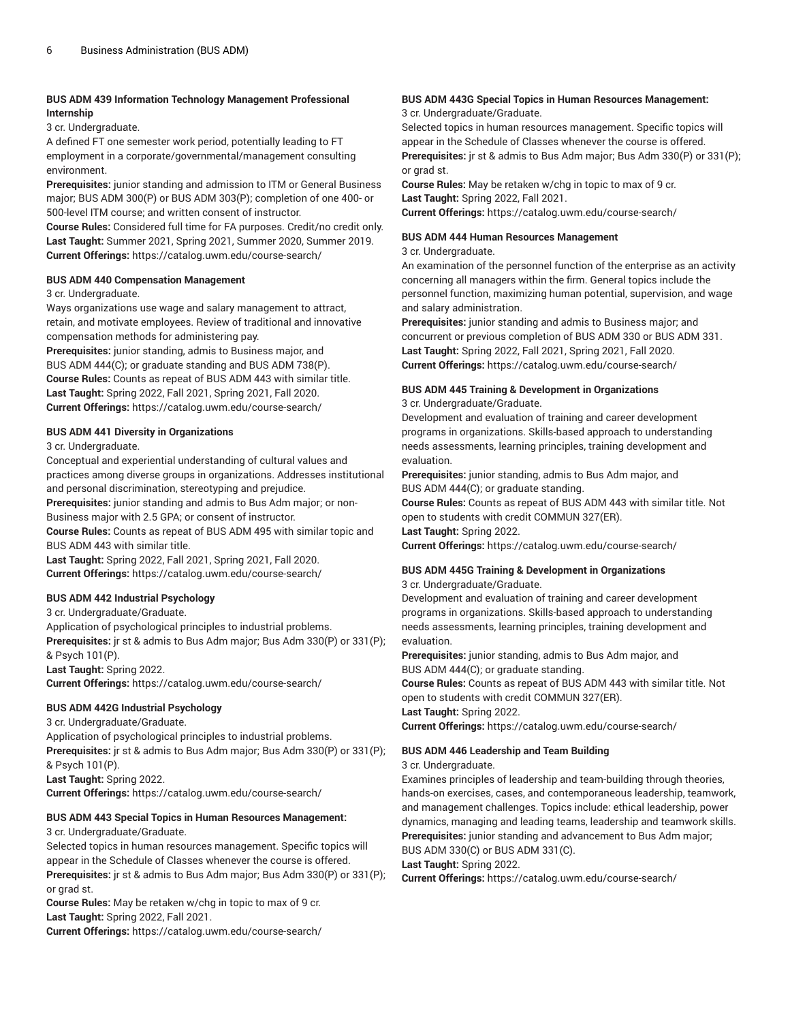#### **BUS ADM 439 Information Technology Management Professional Internship**

3 cr. Undergraduate.

A defined FT one semester work period, potentially leading to FT employment in a corporate/governmental/management consulting environment.

**Prerequisites:** junior standing and admission to ITM or General Business major; BUS ADM 300(P) or BUS ADM 303(P); completion of one 400- or 500-level ITM course; and written consent of instructor.

**Course Rules:** Considered full time for FA purposes. Credit/no credit only. **Last Taught:** Summer 2021, Spring 2021, Summer 2020, Summer 2019. **Current Offerings:** <https://catalog.uwm.edu/course-search/>

#### **BUS ADM 440 Compensation Management**

#### 3 cr. Undergraduate.

Ways organizations use wage and salary management to attract, retain, and motivate employees. Review of traditional and innovative compensation methods for administering pay.

**Prerequisites:** junior standing, admis to Business major, and BUS ADM 444(C); or graduate standing and BUS ADM 738(P). **Course Rules:** Counts as repeat of BUS ADM 443 with similar title. **Last Taught:** Spring 2022, Fall 2021, Spring 2021, Fall 2020. **Current Offerings:** <https://catalog.uwm.edu/course-search/>

#### **BUS ADM 441 Diversity in Organizations**

#### 3 cr. Undergraduate.

Conceptual and experiential understanding of cultural values and practices among diverse groups in organizations. Addresses institutional and personal discrimination, stereotyping and prejudice.

**Prerequisites:** junior standing and admis to Bus Adm major; or non-Business major with 2.5 GPA; or consent of instructor.

**Course Rules:** Counts as repeat of BUS ADM 495 with similar topic and BUS ADM 443 with similar title.

**Last Taught:** Spring 2022, Fall 2021, Spring 2021, Fall 2020. **Current Offerings:** <https://catalog.uwm.edu/course-search/>

### **BUS ADM 442 Industrial Psychology**

#### 3 cr. Undergraduate/Graduate.

Application of psychological principles to industrial problems. **Prerequisites:** jr st & admis to Bus Adm major; Bus Adm 330(P) or 331(P); & Psych 101(P). **Last Taught:** Spring 2022.

**Current Offerings:** <https://catalog.uwm.edu/course-search/>

#### **BUS ADM 442G Industrial Psychology**

3 cr. Undergraduate/Graduate.

Application of psychological principles to industrial problems. **Prerequisites:** jr st & admis to Bus Adm major; Bus Adm 330(P) or 331(P); & Psych 101(P). **Last Taught:** Spring 2022.

**Current Offerings:** <https://catalog.uwm.edu/course-search/>

#### **BUS ADM 443 Special Topics in Human Resources Management:**

3 cr. Undergraduate/Graduate.

Selected topics in human resources management. Specific topics will appear in the Schedule of Classes whenever the course is offered. **Prerequisites:** jr st & admis to Bus Adm major; Bus Adm 330(P) or 331(P); or grad st.

**Course Rules:** May be retaken w/chg in topic to max of 9 cr. **Last Taught:** Spring 2022, Fall 2021.

**Current Offerings:** <https://catalog.uwm.edu/course-search/>

#### **BUS ADM 443G Special Topics in Human Resources Management:** 3 cr. Undergraduate/Graduate.

Selected topics in human resources management. Specific topics will appear in the Schedule of Classes whenever the course is offered. **Prerequisites:** jr st & admis to Bus Adm major; Bus Adm 330(P) or 331(P); or grad st.

**Course Rules:** May be retaken w/chg in topic to max of 9 cr. **Last Taught:** Spring 2022, Fall 2021.

**Current Offerings:** <https://catalog.uwm.edu/course-search/>

#### **BUS ADM 444 Human Resources Management**

#### 3 cr. Undergraduate.

An examination of the personnel function of the enterprise as an activity concerning all managers within the firm. General topics include the personnel function, maximizing human potential, supervision, and wage and salary administration.

**Prerequisites:** junior standing and admis to Business major; and concurrent or previous completion of BUS ADM 330 or BUS ADM 331. **Last Taught:** Spring 2022, Fall 2021, Spring 2021, Fall 2020. **Current Offerings:** <https://catalog.uwm.edu/course-search/>

#### **BUS ADM 445 Training & Development in Organizations**

3 cr. Undergraduate/Graduate.

Development and evaluation of training and career development programs in organizations. Skills-based approach to understanding needs assessments, learning principles, training development and evaluation.

**Prerequisites:** junior standing, admis to Bus Adm major, and BUS ADM 444(C); or graduate standing.

**Course Rules:** Counts as repeat of BUS ADM 443 with similar title. Not open to students with credit COMMUN 327(ER).

**Last Taught:** Spring 2022.

**Current Offerings:** <https://catalog.uwm.edu/course-search/>

#### **BUS ADM 445G Training & Development in Organizations**

3 cr. Undergraduate/Graduate.

Development and evaluation of training and career development programs in organizations. Skills-based approach to understanding needs assessments, learning principles, training development and evaluation.

**Prerequisites:** junior standing, admis to Bus Adm major, and BUS ADM 444(C); or graduate standing.

**Course Rules:** Counts as repeat of BUS ADM 443 with similar title. Not open to students with credit COMMUN 327(ER).

**Last Taught:** Spring 2022.

**Current Offerings:** <https://catalog.uwm.edu/course-search/>

#### **BUS ADM 446 Leadership and Team Building**

#### 3 cr. Undergraduate.

Examines principles of leadership and team-building through theories, hands-on exercises, cases, and contemporaneous leadership, teamwork, and management challenges. Topics include: ethical leadership, power dynamics, managing and leading teams, leadership and teamwork skills. **Prerequisites:** junior standing and advancement to Bus Adm major; BUS ADM 330(C) or BUS ADM 331(C).

**Last Taught:** Spring 2022.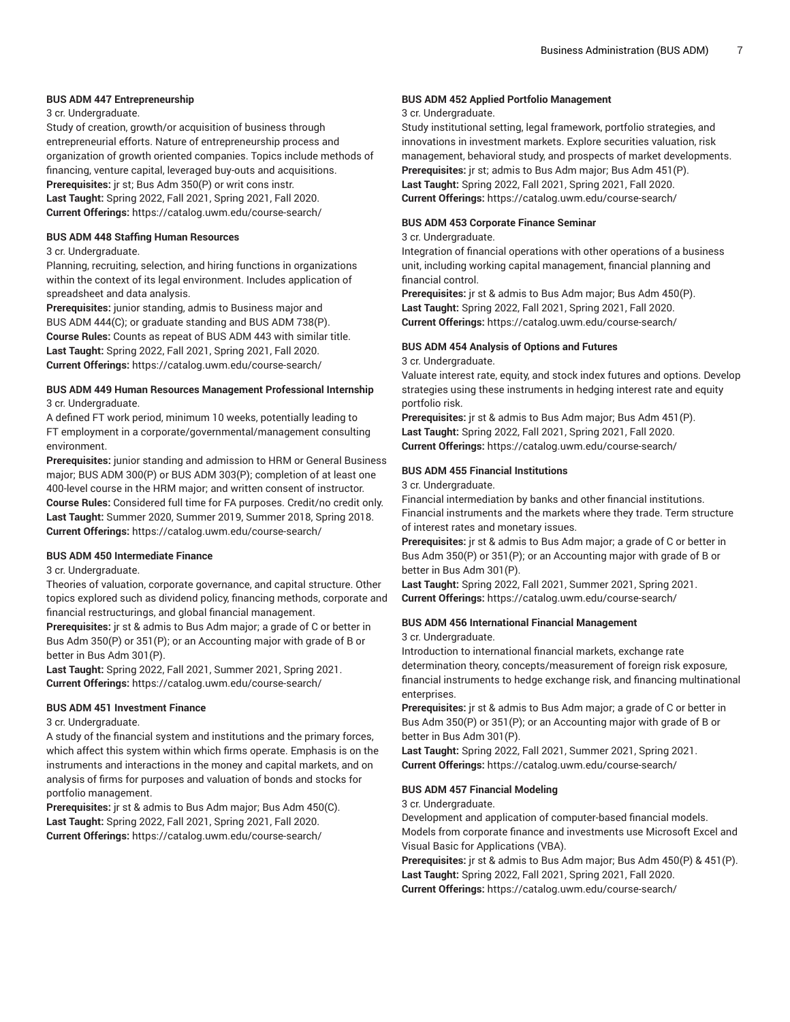#### **BUS ADM 447 Entrepreneurship**

#### 3 cr. Undergraduate.

Study of creation, growth/or acquisition of business through entrepreneurial efforts. Nature of entrepreneurship process and organization of growth oriented companies. Topics include methods of financing, venture capital, leveraged buy-outs and acquisitions. **Prerequisites:** jr st; Bus Adm 350(P) or writ cons instr.

**Last Taught:** Spring 2022, Fall 2021, Spring 2021, Fall 2020. **Current Offerings:** <https://catalog.uwm.edu/course-search/>

#### **BUS ADM 448 Staffing Human Resources**

#### 3 cr. Undergraduate.

Planning, recruiting, selection, and hiring functions in organizations within the context of its legal environment. Includes application of spreadsheet and data analysis.

**Prerequisites:** junior standing, admis to Business major and BUS ADM 444(C); or graduate standing and BUS ADM 738(P). **Course Rules:** Counts as repeat of BUS ADM 443 with similar title. **Last Taught:** Spring 2022, Fall 2021, Spring 2021, Fall 2020. **Current Offerings:** <https://catalog.uwm.edu/course-search/>

#### **BUS ADM 449 Human Resources Management Professional Internship** 3 cr. Undergraduate.

A defined FT work period, minimum 10 weeks, potentially leading to FT employment in a corporate/governmental/management consulting environment.

**Prerequisites:** junior standing and admission to HRM or General Business major; BUS ADM 300(P) or BUS ADM 303(P); completion of at least one 400-level course in the HRM major; and written consent of instructor. **Course Rules:** Considered full time for FA purposes. Credit/no credit only. **Last Taught:** Summer 2020, Summer 2019, Summer 2018, Spring 2018. **Current Offerings:** <https://catalog.uwm.edu/course-search/>

#### **BUS ADM 450 Intermediate Finance**

#### 3 cr. Undergraduate.

Theories of valuation, corporate governance, and capital structure. Other topics explored such as dividend policy, financing methods, corporate and financial restructurings, and global financial management.

**Prerequisites:** jr st & admis to Bus Adm major; a grade of C or better in Bus Adm 350(P) or 351(P); or an Accounting major with grade of B or better in Bus Adm 301(P).

**Last Taught:** Spring 2022, Fall 2021, Summer 2021, Spring 2021. **Current Offerings:** <https://catalog.uwm.edu/course-search/>

#### **BUS ADM 451 Investment Finance**

#### 3 cr. Undergraduate.

A study of the financial system and institutions and the primary forces, which affect this system within which firms operate. Emphasis is on the instruments and interactions in the money and capital markets, and on analysis of firms for purposes and valuation of bonds and stocks for portfolio management.

**Prerequisites:** jr st & admis to Bus Adm major; Bus Adm 450(C). **Last Taught:** Spring 2022, Fall 2021, Spring 2021, Fall 2020. **Current Offerings:** <https://catalog.uwm.edu/course-search/>

#### **BUS ADM 452 Applied Portfolio Management**

#### 3 cr. Undergraduate.

Study institutional setting, legal framework, portfolio strategies, and innovations in investment markets. Explore securities valuation, risk management, behavioral study, and prospects of market developments. **Prerequisites:** jr st; admis to Bus Adm major; Bus Adm 451(P). **Last Taught:** Spring 2022, Fall 2021, Spring 2021, Fall 2020. **Current Offerings:** <https://catalog.uwm.edu/course-search/>

#### **BUS ADM 453 Corporate Finance Seminar**

#### 3 cr. Undergraduate.

Integration of financial operations with other operations of a business unit, including working capital management, financial planning and financial control.

**Prerequisites:** jr st & admis to Bus Adm major; Bus Adm 450(P). **Last Taught:** Spring 2022, Fall 2021, Spring 2021, Fall 2020. **Current Offerings:** <https://catalog.uwm.edu/course-search/>

#### **BUS ADM 454 Analysis of Options and Futures**

3 cr. Undergraduate.

Valuate interest rate, equity, and stock index futures and options. Develop strategies using these instruments in hedging interest rate and equity portfolio risk.

**Prerequisites:** jr st & admis to Bus Adm major; Bus Adm 451(P). **Last Taught:** Spring 2022, Fall 2021, Spring 2021, Fall 2020. **Current Offerings:** <https://catalog.uwm.edu/course-search/>

#### **BUS ADM 455 Financial Institutions**

3 cr. Undergraduate.

Financial intermediation by banks and other financial institutions. Financial instruments and the markets where they trade. Term structure of interest rates and monetary issues.

**Prerequisites:** jr st & admis to Bus Adm major; a grade of C or better in Bus Adm 350(P) or 351(P); or an Accounting major with grade of B or better in Bus Adm 301(P).

**Last Taught:** Spring 2022, Fall 2021, Summer 2021, Spring 2021. **Current Offerings:** <https://catalog.uwm.edu/course-search/>

#### **BUS ADM 456 International Financial Management**

3 cr. Undergraduate.

Introduction to international financial markets, exchange rate determination theory, concepts/measurement of foreign risk exposure, financial instruments to hedge exchange risk, and financing multinational enterprises.

**Prerequisites:** jr st & admis to Bus Adm major; a grade of C or better in Bus Adm 350(P) or 351(P); or an Accounting major with grade of B or better in Bus Adm 301(P).

**Last Taught:** Spring 2022, Fall 2021, Summer 2021, Spring 2021. **Current Offerings:** <https://catalog.uwm.edu/course-search/>

#### **BUS ADM 457 Financial Modeling**

3 cr. Undergraduate.

Development and application of computer-based financial models. Models from corporate finance and investments use Microsoft Excel and Visual Basic for Applications (VBA).

**Prerequisites:** jr st & admis to Bus Adm major; Bus Adm 450(P) & 451(P). **Last Taught:** Spring 2022, Fall 2021, Spring 2021, Fall 2020. **Current Offerings:** <https://catalog.uwm.edu/course-search/>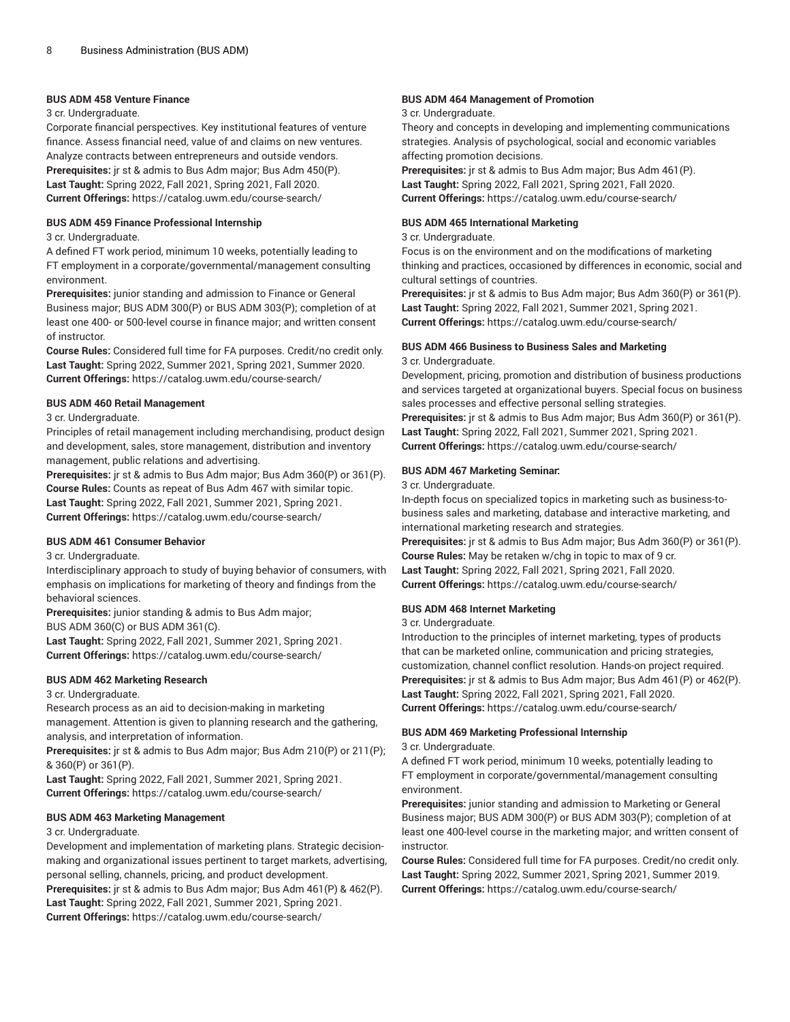#### **BUS ADM 458 Venture Finance**

#### 3 cr. Undergraduate.

Corporate financial perspectives. Key institutional features of venture finance. Assess financial need, value of and claims on new ventures. Analyze contracts between entrepreneurs and outside vendors. **Prerequisites:** jr st & admis to Bus Adm major; Bus Adm 450(P). **Last Taught:** Spring 2022, Fall 2021, Spring 2021, Fall 2020. **Current Offerings:** <https://catalog.uwm.edu/course-search/>

#### **BUS ADM 459 Finance Professional Internship**

#### 3 cr. Undergraduate.

A defined FT work period, minimum 10 weeks, potentially leading to FT employment in a corporate/governmental/management consulting environment.

**Prerequisites:** junior standing and admission to Finance or General Business major; BUS ADM 300(P) or BUS ADM 303(P); completion of at least one 400- or 500-level course in finance major; and written consent of instructor.

**Course Rules:** Considered full time for FA purposes. Credit/no credit only. **Last Taught:** Spring 2022, Summer 2021, Spring 2021, Summer 2020. **Current Offerings:** <https://catalog.uwm.edu/course-search/>

#### **BUS ADM 460 Retail Management**

#### 3 cr. Undergraduate.

Principles of retail management including merchandising, product design and development, sales, store management, distribution and inventory management, public relations and advertising.

**Prerequisites:** jr st & admis to Bus Adm major; Bus Adm 360(P) or 361(P). **Course Rules:** Counts as repeat of Bus Adm 467 with similar topic. **Last Taught:** Spring 2022, Fall 2021, Summer 2021, Spring 2021. **Current Offerings:** <https://catalog.uwm.edu/course-search/>

#### **BUS ADM 461 Consumer Behavior**

#### 3 cr. Undergraduate.

Interdisciplinary approach to study of buying behavior of consumers, with emphasis on implications for marketing of theory and findings from the behavioral sciences.

**Prerequisites:** junior standing & admis to Bus Adm major; BUS ADM 360(C) or BUS ADM 361(C).

**Last Taught:** Spring 2022, Fall 2021, Summer 2021, Spring 2021. **Current Offerings:** <https://catalog.uwm.edu/course-search/>

#### **BUS ADM 462 Marketing Research**

#### 3 cr. Undergraduate.

Research process as an aid to decision-making in marketing management. Attention is given to planning research and the gathering, analysis, and interpretation of information.

**Prerequisites:** jr st & admis to Bus Adm major; Bus Adm 210(P) or 211(P); & 360(P) or 361(P).

**Last Taught:** Spring 2022, Fall 2021, Summer 2021, Spring 2021. **Current Offerings:** <https://catalog.uwm.edu/course-search/>

#### **BUS ADM 463 Marketing Management**

#### 3 cr. Undergraduate.

Development and implementation of marketing plans. Strategic decisionmaking and organizational issues pertinent to target markets, advertising, personal selling, channels, pricing, and product development.

**Prerequisites:** jr st & admis to Bus Adm major; Bus Adm 461(P) & 462(P). **Last Taught:** Spring 2022, Fall 2021, Summer 2021, Spring 2021.

**Current Offerings:** <https://catalog.uwm.edu/course-search/>

#### **BUS ADM 464 Management of Promotion**

#### 3 cr. Undergraduate.

Theory and concepts in developing and implementing communications strategies. Analysis of psychological, social and economic variables affecting promotion decisions.

**Prerequisites:** jr st & admis to Bus Adm major; Bus Adm 461(P). **Last Taught:** Spring 2022, Fall 2021, Spring 2021, Fall 2020. **Current Offerings:** <https://catalog.uwm.edu/course-search/>

#### **BUS ADM 465 International Marketing**

#### 3 cr. Undergraduate.

Focus is on the environment and on the modifications of marketing thinking and practices, occasioned by differences in economic, social and cultural settings of countries.

**Prerequisites:** jr st & admis to Bus Adm major; Bus Adm 360(P) or 361(P). **Last Taught:** Spring 2022, Fall 2021, Summer 2021, Spring 2021. **Current Offerings:** <https://catalog.uwm.edu/course-search/>

#### **BUS ADM 466 Business to Business Sales and Marketing**

#### 3 cr. Undergraduate.

Development, pricing, promotion and distribution of business productions and services targeted at organizational buyers. Special focus on business sales processes and effective personal selling strategies.

**Prerequisites:** jr st & admis to Bus Adm major; Bus Adm 360(P) or 361(P). **Last Taught:** Spring 2022, Fall 2021, Summer 2021, Spring 2021. **Current Offerings:** <https://catalog.uwm.edu/course-search/>

#### **BUS ADM 467 Marketing Seminar:**

#### 3 cr. Undergraduate.

In-depth focus on specialized topics in marketing such as business-tobusiness sales and marketing, database and interactive marketing, and international marketing research and strategies.

**Prerequisites:** jr st & admis to Bus Adm major; Bus Adm 360(P) or 361(P). **Course Rules:** May be retaken w/chg in topic to max of 9 cr. **Last Taught:** Spring 2022, Fall 2021, Spring 2021, Fall 2020. **Current Offerings:** <https://catalog.uwm.edu/course-search/>

#### **BUS ADM 468 Internet Marketing**

#### 3 cr. Undergraduate.

Introduction to the principles of internet marketing, types of products that can be marketed online, communication and pricing strategies, customization, channel conflict resolution. Hands-on project required. **Prerequisites:** jr st & admis to Bus Adm major; Bus Adm 461(P) or 462(P). **Last Taught:** Spring 2022, Fall 2021, Spring 2021, Fall 2020. **Current Offerings:** <https://catalog.uwm.edu/course-search/>

#### **BUS ADM 469 Marketing Professional Internship**

#### 3 cr. Undergraduate.

A defined FT work period, minimum 10 weeks, potentially leading to FT employment in corporate/governmental/management consulting environment.

**Prerequisites:** junior standing and admission to Marketing or General Business major; BUS ADM 300(P) or BUS ADM 303(P); completion of at least one 400-level course in the marketing major; and written consent of instructor.

**Course Rules:** Considered full time for FA purposes. Credit/no credit only. **Last Taught:** Spring 2022, Summer 2021, Spring 2021, Summer 2019. **Current Offerings:** <https://catalog.uwm.edu/course-search/>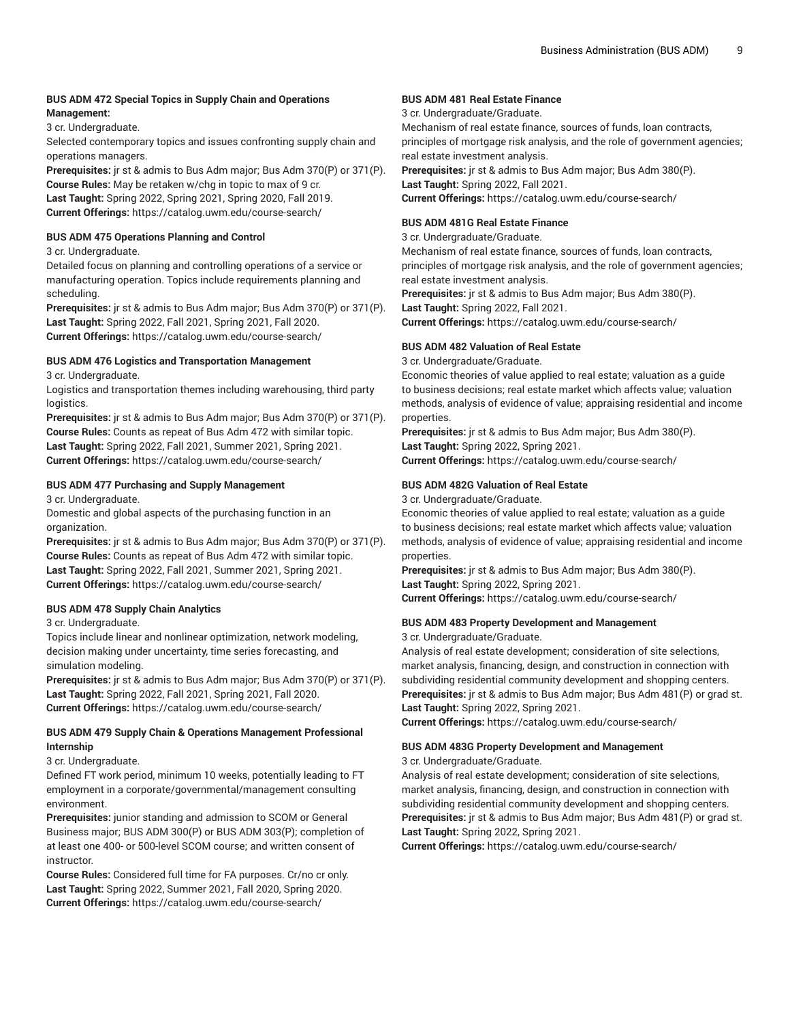#### **BUS ADM 472 Special Topics in Supply Chain and Operations Management:**

3 cr. Undergraduate.

Selected contemporary topics and issues confronting supply chain and operations managers.

**Prerequisites:** jr st & admis to Bus Adm major; Bus Adm 370(P) or 371(P). **Course Rules:** May be retaken w/chg in topic to max of 9 cr. **Last Taught:** Spring 2022, Spring 2021, Spring 2020, Fall 2019. **Current Offerings:** <https://catalog.uwm.edu/course-search/>

#### **BUS ADM 475 Operations Planning and Control**

3 cr. Undergraduate.

Detailed focus on planning and controlling operations of a service or manufacturing operation. Topics include requirements planning and scheduling.

**Prerequisites:** jr st & admis to Bus Adm major; Bus Adm 370(P) or 371(P). **Last Taught:** Spring 2022, Fall 2021, Spring 2021, Fall 2020. **Current Offerings:** <https://catalog.uwm.edu/course-search/>

#### **BUS ADM 476 Logistics and Transportation Management**

#### 3 cr. Undergraduate.

Logistics and transportation themes including warehousing, third party logistics.

**Prerequisites:** jr st & admis to Bus Adm major; Bus Adm 370(P) or 371(P). **Course Rules:** Counts as repeat of Bus Adm 472 with similar topic. **Last Taught:** Spring 2022, Fall 2021, Summer 2021, Spring 2021. **Current Offerings:** <https://catalog.uwm.edu/course-search/>

#### **BUS ADM 477 Purchasing and Supply Management**

3 cr. Undergraduate.

Domestic and global aspects of the purchasing function in an organization.

**Prerequisites:** jr st & admis to Bus Adm major; Bus Adm 370(P) or 371(P). **Course Rules:** Counts as repeat of Bus Adm 472 with similar topic. **Last Taught:** Spring 2022, Fall 2021, Summer 2021, Spring 2021. **Current Offerings:** <https://catalog.uwm.edu/course-search/>

#### **BUS ADM 478 Supply Chain Analytics**

3 cr. Undergraduate.

Topics include linear and nonlinear optimization, network modeling, decision making under uncertainty, time series forecasting, and simulation modeling.

**Prerequisites:** jr st & admis to Bus Adm major; Bus Adm 370(P) or 371(P). **Last Taught:** Spring 2022, Fall 2021, Spring 2021, Fall 2020. **Current Offerings:** <https://catalog.uwm.edu/course-search/>

#### **BUS ADM 479 Supply Chain & Operations Management Professional Internship**

#### 3 cr. Undergraduate.

Defined FT work period, minimum 10 weeks, potentially leading to FT employment in a corporate/governmental/management consulting environment.

**Prerequisites:** junior standing and admission to SCOM or General Business major; BUS ADM 300(P) or BUS ADM 303(P); completion of at least one 400- or 500-level SCOM course; and written consent of instructor.

**Course Rules:** Considered full time for FA purposes. Cr/no cr only. **Last Taught:** Spring 2022, Summer 2021, Fall 2020, Spring 2020. **Current Offerings:** <https://catalog.uwm.edu/course-search/>

#### **BUS ADM 481 Real Estate Finance**

3 cr. Undergraduate/Graduate.

Mechanism of real estate finance, sources of funds, loan contracts, principles of mortgage risk analysis, and the role of government agencies; real estate investment analysis.

**Prerequisites:** jr st & admis to Bus Adm major; Bus Adm 380(P). **Last Taught:** Spring 2022, Fall 2021. **Current Offerings:** <https://catalog.uwm.edu/course-search/>

#### **BUS ADM 481G Real Estate Finance**

#### 3 cr. Undergraduate/Graduate.

Mechanism of real estate finance, sources of funds, loan contracts, principles of mortgage risk analysis, and the role of government agencies; real estate investment analysis.

**Prerequisites:** jr st & admis to Bus Adm major; Bus Adm 380(P).

**Last Taught:** Spring 2022, Fall 2021.

**Current Offerings:** <https://catalog.uwm.edu/course-search/>

#### **BUS ADM 482 Valuation of Real Estate**

3 cr. Undergraduate/Graduate.

Economic theories of value applied to real estate; valuation as a guide to business decisions; real estate market which affects value; valuation methods, analysis of evidence of value; appraising residential and income properties.

**Prerequisites:** jr st & admis to Bus Adm major; Bus Adm 380(P). **Last Taught:** Spring 2022, Spring 2021.

**Current Offerings:** <https://catalog.uwm.edu/course-search/>

#### **BUS ADM 482G Valuation of Real Estate**

3 cr. Undergraduate/Graduate.

Economic theories of value applied to real estate; valuation as a guide to business decisions; real estate market which affects value; valuation methods, analysis of evidence of value; appraising residential and income properties.

**Prerequisites:** jr st & admis to Bus Adm major; Bus Adm 380(P). **Last Taught:** Spring 2022, Spring 2021.

**Current Offerings:** <https://catalog.uwm.edu/course-search/>

### **BUS ADM 483 Property Development and Management**

3 cr. Undergraduate/Graduate.

Analysis of real estate development; consideration of site selections, market analysis, financing, design, and construction in connection with subdividing residential community development and shopping centers. **Prerequisites:** jr st & admis to Bus Adm major; Bus Adm 481(P) or grad st. **Last Taught:** Spring 2022, Spring 2021.

**Current Offerings:** <https://catalog.uwm.edu/course-search/>

# **BUS ADM 483G Property Development and Management**

3 cr. Undergraduate/Graduate.

Analysis of real estate development; consideration of site selections, market analysis, financing, design, and construction in connection with subdividing residential community development and shopping centers. **Prerequisites:** jr st & admis to Bus Adm major; Bus Adm 481(P) or grad st. **Last Taught:** Spring 2022, Spring 2021.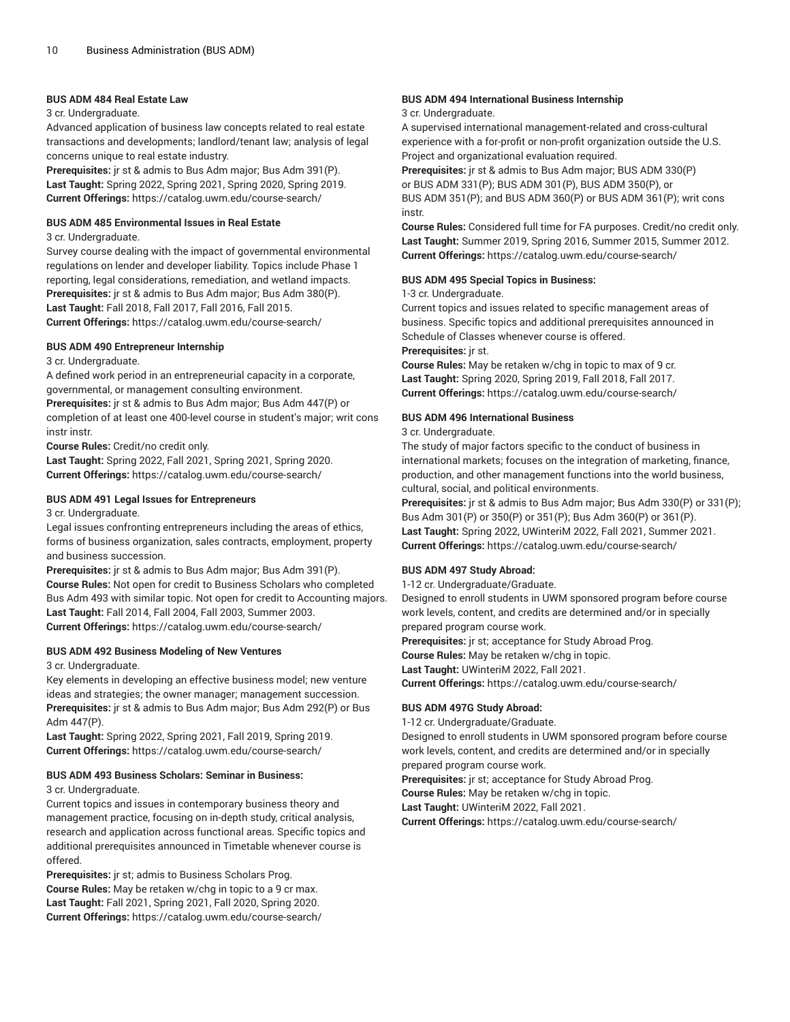#### **BUS ADM 484 Real Estate Law**

#### 3 cr. Undergraduate.

Advanced application of business law concepts related to real estate transactions and developments; landlord/tenant law; analysis of legal concerns unique to real estate industry.

**Prerequisites:** jr st & admis to Bus Adm major; Bus Adm 391(P). **Last Taught:** Spring 2022, Spring 2021, Spring 2020, Spring 2019. **Current Offerings:** <https://catalog.uwm.edu/course-search/>

#### **BUS ADM 485 Environmental Issues in Real Estate**

#### 3 cr. Undergraduate.

Survey course dealing with the impact of governmental environmental regulations on lender and developer liability. Topics include Phase 1 reporting, legal considerations, remediation, and wetland impacts. **Prerequisites:** jr st & admis to Bus Adm major; Bus Adm 380(P). **Last Taught:** Fall 2018, Fall 2017, Fall 2016, Fall 2015. **Current Offerings:** <https://catalog.uwm.edu/course-search/>

#### **BUS ADM 490 Entrepreneur Internship**

3 cr. Undergraduate.

A defined work period in an entrepreneurial capacity in a corporate, governmental, or management consulting environment.

**Prerequisites:** jr st & admis to Bus Adm major; Bus Adm 447(P) or completion of at least one 400-level course in student's major; writ cons instr instr.

**Course Rules:** Credit/no credit only.

**Last Taught:** Spring 2022, Fall 2021, Spring 2021, Spring 2020. **Current Offerings:** <https://catalog.uwm.edu/course-search/>

#### **BUS ADM 491 Legal Issues for Entrepreneurs**

3 cr. Undergraduate.

Legal issues confronting entrepreneurs including the areas of ethics, forms of business organization, sales contracts, employment, property and business succession.

**Prerequisites:** jr st & admis to Bus Adm major; Bus Adm 391(P). **Course Rules:** Not open for credit to Business Scholars who completed Bus Adm 493 with similar topic. Not open for credit to Accounting majors. **Last Taught:** Fall 2014, Fall 2004, Fall 2003, Summer 2003. **Current Offerings:** <https://catalog.uwm.edu/course-search/>

#### **BUS ADM 492 Business Modeling of New Ventures**

3 cr. Undergraduate.

Key elements in developing an effective business model; new venture ideas and strategies; the owner manager; management succession. **Prerequisites:** jr st & admis to Bus Adm major; Bus Adm 292(P) or Bus Adm 447(P).

**Last Taught:** Spring 2022, Spring 2021, Fall 2019, Spring 2019. **Current Offerings:** <https://catalog.uwm.edu/course-search/>

#### **BUS ADM 493 Business Scholars: Seminar in Business:**

3 cr. Undergraduate.

Current topics and issues in contemporary business theory and management practice, focusing on in-depth study, critical analysis, research and application across functional areas. Specific topics and additional prerequisites announced in Timetable whenever course is offered.

**Prerequisites:** jr st; admis to Business Scholars Prog. **Course Rules:** May be retaken w/chg in topic to a 9 cr max. **Last Taught:** Fall 2021, Spring 2021, Fall 2020, Spring 2020. **Current Offerings:** <https://catalog.uwm.edu/course-search/>

#### **BUS ADM 494 International Business Internship**

#### 3 cr. Undergraduate.

A supervised international management-related and cross-cultural experience with a for-profit or non-profit organization outside the U.S. Project and organizational evaluation required.

**Prerequisites:** jr st & admis to Bus Adm major; BUS ADM 330(P) or BUS ADM 331(P); BUS ADM 301(P), BUS ADM 350(P), or BUS ADM 351(P); and BUS ADM 360(P) or BUS ADM 361(P); writ cons instr.

**Course Rules:** Considered full time for FA purposes. Credit/no credit only. **Last Taught:** Summer 2019, Spring 2016, Summer 2015, Summer 2012. **Current Offerings:** <https://catalog.uwm.edu/course-search/>

#### **BUS ADM 495 Special Topics in Business:**

#### 1-3 cr. Undergraduate.

Current topics and issues related to specific management areas of business. Specific topics and additional prerequisites announced in Schedule of Classes whenever course is offered.

**Prerequisites:** jr st.

**Course Rules:** May be retaken w/chg in topic to max of 9 cr. **Last Taught:** Spring 2020, Spring 2019, Fall 2018, Fall 2017. **Current Offerings:** <https://catalog.uwm.edu/course-search/>

#### **BUS ADM 496 International Business**

3 cr. Undergraduate.

The study of major factors specific to the conduct of business in international markets; focuses on the integration of marketing, finance, production, and other management functions into the world business, cultural, social, and political environments.

**Prerequisites:** jr st & admis to Bus Adm major; Bus Adm 330(P) or 331(P); Bus Adm 301(P) or 350(P) or 351(P); Bus Adm 360(P) or 361(P). **Last Taught:** Spring 2022, UWinteriM 2022, Fall 2021, Summer 2021. **Current Offerings:** <https://catalog.uwm.edu/course-search/>

#### **BUS ADM 497 Study Abroad:**

1-12 cr. Undergraduate/Graduate.

Designed to enroll students in UWM sponsored program before course work levels, content, and credits are determined and/or in specially prepared program course work.

**Prerequisites:** jr st; acceptance for Study Abroad Prog.

**Course Rules:** May be retaken w/chg in topic.

**Last Taught:** UWinteriM 2022, Fall 2021.

**Current Offerings:** <https://catalog.uwm.edu/course-search/>

#### **BUS ADM 497G Study Abroad:**

1-12 cr. Undergraduate/Graduate.

Designed to enroll students in UWM sponsored program before course work levels, content, and credits are determined and/or in specially prepared program course work.

**Prerequisites:** jr st; acceptance for Study Abroad Prog.

**Course Rules:** May be retaken w/chg in topic.

**Last Taught:** UWinteriM 2022, Fall 2021.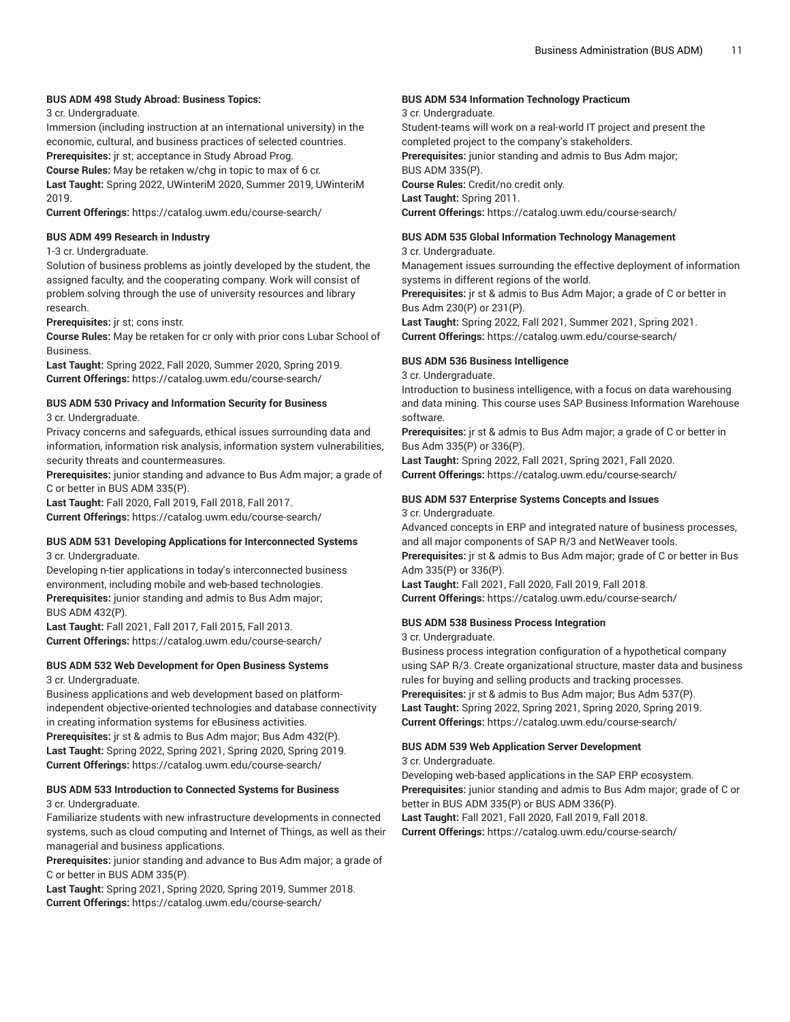#### **BUS ADM 498 Study Abroad: Business Topics:**

3 cr. Undergraduate.

Immersion (including instruction at an international university) in the economic, cultural, and business practices of selected countries.

**Prerequisites:** jr st; acceptance in Study Abroad Prog. **Course Rules:** May be retaken w/chg in topic to max of 6 cr.

**Last Taught:** Spring 2022, UWinteriM 2020, Summer 2019, UWinteriM 2019.

**Current Offerings:** <https://catalog.uwm.edu/course-search/>

#### **BUS ADM 499 Research in Industry**

#### 1-3 cr. Undergraduate.

Solution of business problems as jointly developed by the student, the assigned faculty, and the cooperating company. Work will consist of problem solving through the use of university resources and library research.

**Prerequisites:** jr st; cons instr.

**Course Rules:** May be retaken for cr only with prior cons Lubar School of Business.

**Last Taught:** Spring 2022, Fall 2020, Summer 2020, Spring 2019. **Current Offerings:** <https://catalog.uwm.edu/course-search/>

#### **BUS ADM 530 Privacy and Information Security for Business**

3 cr. Undergraduate.

Privacy concerns and safeguards, ethical issues surrounding data and information, information risk analysis, information system vulnerabilities, security threats and countermeasures.

**Prerequisites:** junior standing and advance to Bus Adm major; a grade of C or better in BUS ADM 335(P).

**Last Taught:** Fall 2020, Fall 2019, Fall 2018, Fall 2017.

**Current Offerings:** <https://catalog.uwm.edu/course-search/>

#### **BUS ADM 531 Developing Applications for Interconnected Systems** 3 cr. Undergraduate.

Developing n-tier applications in today's interconnected business environment, including mobile and web-based technologies. **Prerequisites:** junior standing and admis to Bus Adm major; BUS ADM 432(P).

**Last Taught:** Fall 2021, Fall 2017, Fall 2015, Fall 2013. **Current Offerings:** <https://catalog.uwm.edu/course-search/>

#### **BUS ADM 532 Web Development for Open Business Systems** 3 cr. Undergraduate.

Business applications and web development based on platformindependent objective-oriented technologies and database connectivity in creating information systems for eBusiness activities.

**Prerequisites:** jr st & admis to Bus Adm major; Bus Adm 432(P). **Last Taught:** Spring 2022, Spring 2021, Spring 2020, Spring 2019. **Current Offerings:** <https://catalog.uwm.edu/course-search/>

#### **BUS ADM 533 Introduction to Connected Systems for Business** 3 cr. Undergraduate.

Familiarize students with new infrastructure developments in connected systems, such as cloud computing and Internet of Things, as well as their managerial and business applications.

**Prerequisites:** junior standing and advance to Bus Adm major; a grade of C or better in BUS ADM 335(P).

**Last Taught:** Spring 2021, Spring 2020, Spring 2019, Summer 2018. **Current Offerings:** <https://catalog.uwm.edu/course-search/>

#### **BUS ADM 534 Information Technology Practicum**

3 cr. Undergraduate.

Student-teams will work on a real-world IT project and present the completed project to the company's stakeholders. **Prerequisites:** junior standing and admis to Bus Adm major; BUS ADM 335(P).

**Course Rules:** Credit/no credit only.

**Last Taught:** Spring 2011.

**Current Offerings:** <https://catalog.uwm.edu/course-search/>

### **BUS ADM 535 Global Information Technology Management**

3 cr. Undergraduate.

Management issues surrounding the effective deployment of information systems in different regions of the world.

**Prerequisites:** jr st & admis to Bus Adm Major; a grade of C or better in Bus Adm 230(P) or 231(P).

**Last Taught:** Spring 2022, Fall 2021, Summer 2021, Spring 2021. **Current Offerings:** <https://catalog.uwm.edu/course-search/>

#### **BUS ADM 536 Business Intelligence**

3 cr. Undergraduate.

Introduction to business intelligence, with a focus on data warehousing and data mining. This course uses SAP Business Information Warehouse software.

**Prerequisites:** jr st & admis to Bus Adm major; a grade of C or better in Bus Adm 335(P) or 336(P).

**Last Taught:** Spring 2022, Fall 2021, Spring 2021, Fall 2020. **Current Offerings:** <https://catalog.uwm.edu/course-search/>

#### **BUS ADM 537 Enterprise Systems Concepts and Issues**

3 cr. Undergraduate.

Advanced concepts in ERP and integrated nature of business processes, and all major components of SAP R/3 and NetWeaver tools. **Prerequisites:** jr st & admis to Bus Adm major; grade of C or better in Bus Adm 335(P) or 336(P).

**Last Taught:** Fall 2021, Fall 2020, Fall 2019, Fall 2018. **Current Offerings:** <https://catalog.uwm.edu/course-search/>

#### **BUS ADM 538 Business Process Integration**

3 cr. Undergraduate.

Business process integration configuration of a hypothetical company using SAP R/3. Create organizational structure, master data and business rules for buying and selling products and tracking processes. **Prerequisites:** jr st & admis to Bus Adm major; Bus Adm 537(P). **Last Taught:** Spring 2022, Spring 2021, Spring 2020, Spring 2019. **Current Offerings:** <https://catalog.uwm.edu/course-search/>

#### **BUS ADM 539 Web Application Server Development** 3 cr. Undergraduate.

Developing web-based applications in the SAP ERP ecosystem. **Prerequisites:** junior standing and admis to Bus Adm major; grade of C or better in BUS ADM 335(P) or BUS ADM 336(P). **Last Taught:** Fall 2021, Fall 2020, Fall 2019, Fall 2018. **Current Offerings:** <https://catalog.uwm.edu/course-search/>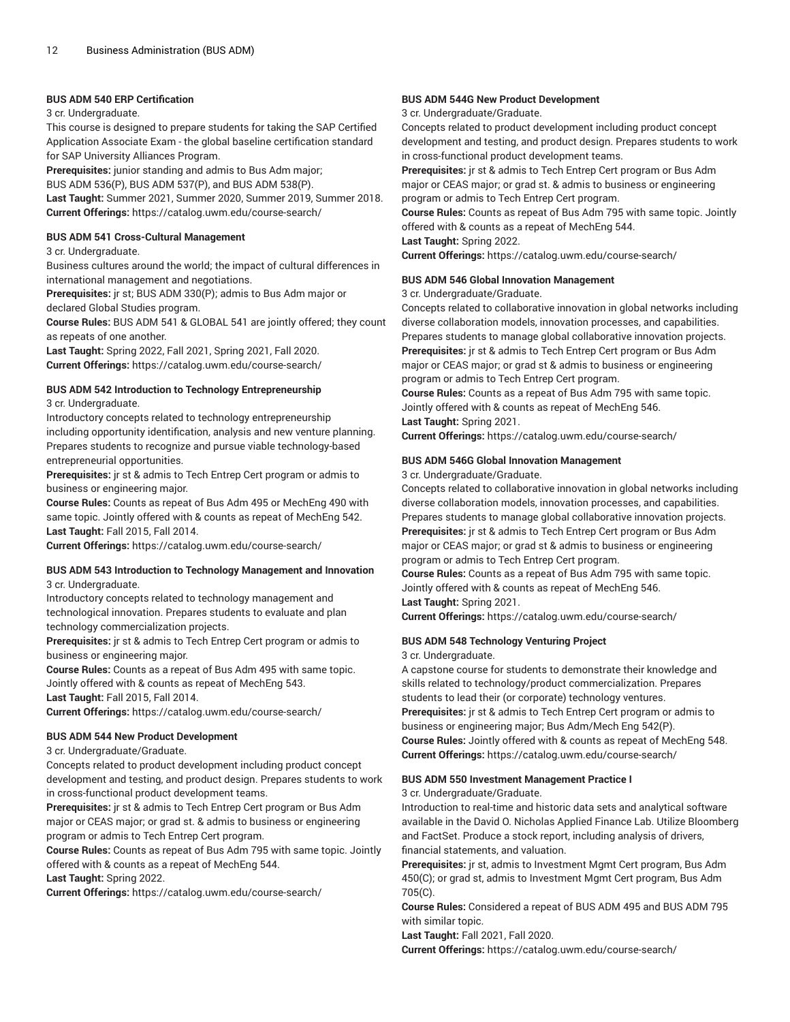#### **BUS ADM 540 ERP Certification**

#### 3 cr. Undergraduate.

This course is designed to prepare students for taking the SAP Certified Application Associate Exam - the global baseline certification standard for SAP University Alliances Program.

**Prerequisites:** junior standing and admis to Bus Adm major; BUS ADM 536(P), BUS ADM 537(P), and BUS ADM 538(P). **Last Taught:** Summer 2021, Summer 2020, Summer 2019, Summer 2018.

**Current Offerings:** <https://catalog.uwm.edu/course-search/>

#### **BUS ADM 541 Cross-Cultural Management**

#### 3 cr. Undergraduate.

Business cultures around the world; the impact of cultural differences in international management and negotiations.

**Prerequisites:** jr st; BUS ADM 330(P); admis to Bus Adm major or declared Global Studies program.

**Course Rules:** BUS ADM 541 & GLOBAL 541 are jointly offered; they count as repeats of one another.

**Last Taught:** Spring 2022, Fall 2021, Spring 2021, Fall 2020. **Current Offerings:** <https://catalog.uwm.edu/course-search/>

#### **BUS ADM 542 Introduction to Technology Entrepreneurship**

3 cr. Undergraduate.

Introductory concepts related to technology entrepreneurship including opportunity identification, analysis and new venture planning. Prepares students to recognize and pursue viable technology-based entrepreneurial opportunities.

**Prerequisites:** jr st & admis to Tech Entrep Cert program or admis to business or engineering major.

**Course Rules:** Counts as repeat of Bus Adm 495 or MechEng 490 with same topic. Jointly offered with & counts as repeat of MechEng 542. **Last Taught:** Fall 2015, Fall 2014.

**Current Offerings:** <https://catalog.uwm.edu/course-search/>

#### **BUS ADM 543 Introduction to Technology Management and Innovation** 3 cr. Undergraduate.

Introductory concepts related to technology management and technological innovation. Prepares students to evaluate and plan technology commercialization projects.

**Prerequisites:** jr st & admis to Tech Entrep Cert program or admis to business or engineering major.

**Course Rules:** Counts as a repeat of Bus Adm 495 with same topic. Jointly offered with & counts as repeat of MechEng 543. **Last Taught:** Fall 2015, Fall 2014.

**Current Offerings:** <https://catalog.uwm.edu/course-search/>

#### **BUS ADM 544 New Product Development**

3 cr. Undergraduate/Graduate.

Concepts related to product development including product concept development and testing, and product design. Prepares students to work in cross-functional product development teams.

**Prerequisites:** jr st & admis to Tech Entrep Cert program or Bus Adm major or CEAS major; or grad st. & admis to business or engineering program or admis to Tech Entrep Cert program.

**Course Rules:** Counts as repeat of Bus Adm 795 with same topic. Jointly offered with & counts as a repeat of MechEng 544.

**Last Taught:** Spring 2022.

**Current Offerings:** <https://catalog.uwm.edu/course-search/>

#### **BUS ADM 544G New Product Development**

#### 3 cr. Undergraduate/Graduate.

Concepts related to product development including product concept development and testing, and product design. Prepares students to work in cross-functional product development teams.

**Prerequisites:** jr st & admis to Tech Entrep Cert program or Bus Adm major or CEAS major; or grad st. & admis to business or engineering program or admis to Tech Entrep Cert program.

**Course Rules:** Counts as repeat of Bus Adm 795 with same topic. Jointly offered with & counts as a repeat of MechEng 544.

**Last Taught:** Spring 2022.

**Current Offerings:** <https://catalog.uwm.edu/course-search/>

#### **BUS ADM 546 Global Innovation Management**

#### 3 cr. Undergraduate/Graduate.

Concepts related to collaborative innovation in global networks including diverse collaboration models, innovation processes, and capabilities. Prepares students to manage global collaborative innovation projects. **Prerequisites:** jr st & admis to Tech Entrep Cert program or Bus Adm major or CEAS major; or grad st & admis to business or engineering program or admis to Tech Entrep Cert program.

**Course Rules:** Counts as a repeat of Bus Adm 795 with same topic. Jointly offered with & counts as repeat of MechEng 546.

**Last Taught:** Spring 2021.

**Current Offerings:** <https://catalog.uwm.edu/course-search/>

#### **BUS ADM 546G Global Innovation Management**

3 cr. Undergraduate/Graduate.

Concepts related to collaborative innovation in global networks including diverse collaboration models, innovation processes, and capabilities. Prepares students to manage global collaborative innovation projects. **Prerequisites:** jr st & admis to Tech Entrep Cert program or Bus Adm major or CEAS major; or grad st & admis to business or engineering program or admis to Tech Entrep Cert program.

**Course Rules:** Counts as a repeat of Bus Adm 795 with same topic. Jointly offered with & counts as repeat of MechEng 546. **Last Taught:** Spring 2021.

**Current Offerings:** <https://catalog.uwm.edu/course-search/>

#### **BUS ADM 548 Technology Venturing Project**

3 cr. Undergraduate.

A capstone course for students to demonstrate their knowledge and skills related to technology/product commercialization. Prepares students to lead their (or corporate) technology ventures. **Prerequisites:** jr st & admis to Tech Entrep Cert program or admis to business or engineering major; Bus Adm/Mech Eng 542(P). **Course Rules:** Jointly offered with & counts as repeat of MechEng 548. **Current Offerings:** <https://catalog.uwm.edu/course-search/>

#### **BUS ADM 550 Investment Management Practice I**

3 cr. Undergraduate/Graduate.

Introduction to real-time and historic data sets and analytical software available in the David O. Nicholas Applied Finance Lab. Utilize Bloomberg and FactSet. Produce a stock report, including analysis of drivers, financial statements, and valuation.

**Prerequisites:** jr st, admis to Investment Mgmt Cert program, Bus Adm 450(C); or grad st, admis to Investment Mgmt Cert program, Bus Adm 705(C).

**Course Rules:** Considered a repeat of BUS ADM 495 and BUS ADM 795 with similar topic.

**Last Taught:** Fall 2021, Fall 2020.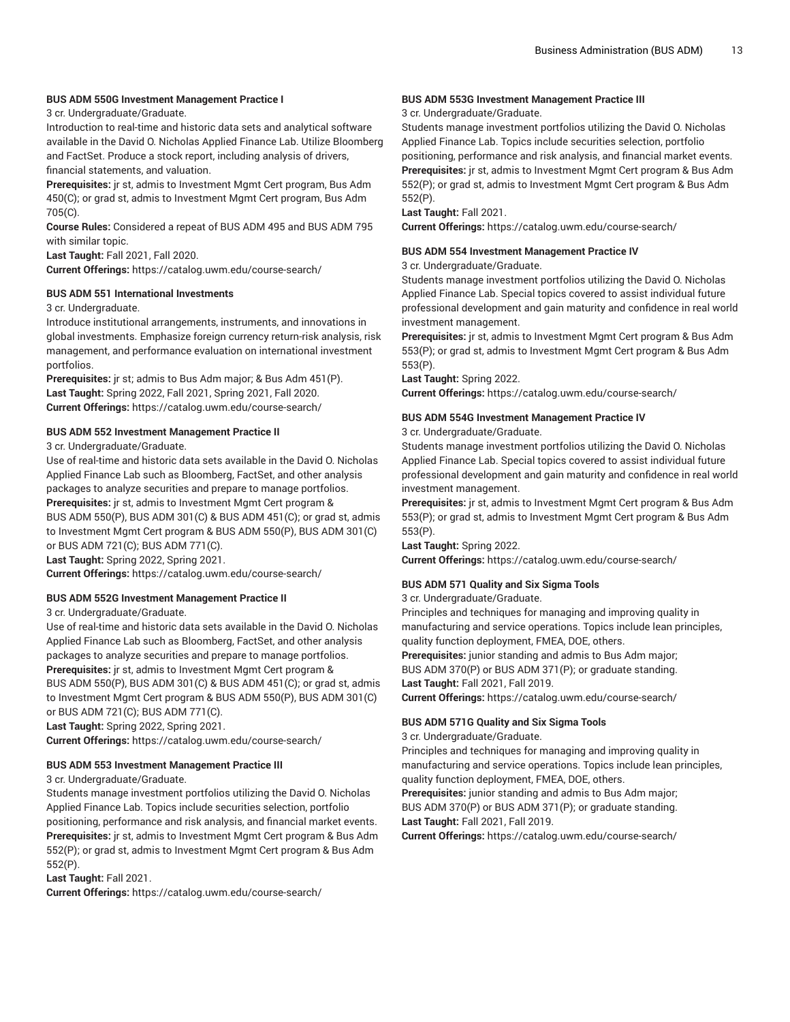#### **BUS ADM 550G Investment Management Practice I**

3 cr. Undergraduate/Graduate.

Introduction to real-time and historic data sets and analytical software available in the David O. Nicholas Applied Finance Lab. Utilize Bloomberg and FactSet. Produce a stock report, including analysis of drivers, financial statements, and valuation.

**Prerequisites:** jr st, admis to Investment Mgmt Cert program, Bus Adm 450(C); or grad st, admis to Investment Mgmt Cert program, Bus Adm 705(C).

**Course Rules:** Considered a repeat of BUS ADM 495 and BUS ADM 795 with similar topic.

**Last Taught:** Fall 2021, Fall 2020.

**Current Offerings:** <https://catalog.uwm.edu/course-search/>

#### **BUS ADM 551 International Investments**

3 cr. Undergraduate.

Introduce institutional arrangements, instruments, and innovations in global investments. Emphasize foreign currency return-risk analysis, risk management, and performance evaluation on international investment portfolios.

**Prerequisites:** jr st; admis to Bus Adm major; & Bus Adm 451(P). **Last Taught:** Spring 2022, Fall 2021, Spring 2021, Fall 2020. **Current Offerings:** <https://catalog.uwm.edu/course-search/>

#### **BUS ADM 552 Investment Management Practice II**

3 cr. Undergraduate/Graduate.

Use of real-time and historic data sets available in the David O. Nicholas Applied Finance Lab such as Bloomberg, FactSet, and other analysis packages to analyze securities and prepare to manage portfolios. **Prerequisites:** jr st, admis to Investment Mgmt Cert program &

BUS ADM 550(P), BUS ADM 301(C) & BUS ADM 451(C); or grad st, admis to Investment Mgmt Cert program & BUS ADM 550(P), BUS ADM 301(C) or BUS ADM 721(C); BUS ADM 771(C).

**Last Taught:** Spring 2022, Spring 2021.

**Current Offerings:** <https://catalog.uwm.edu/course-search/>

#### **BUS ADM 552G Investment Management Practice II**

3 cr. Undergraduate/Graduate.

Use of real-time and historic data sets available in the David O. Nicholas Applied Finance Lab such as Bloomberg, FactSet, and other analysis packages to analyze securities and prepare to manage portfolios. **Prerequisites:** jr st, admis to Investment Mgmt Cert program & BUS ADM 550(P), BUS ADM 301(C) & BUS ADM 451(C); or grad st, admis to Investment Mgmt Cert program & BUS ADM 550(P), BUS ADM 301(C) or BUS ADM 721(C); BUS ADM 771(C).

**Last Taught:** Spring 2022, Spring 2021.

**Current Offerings:** <https://catalog.uwm.edu/course-search/>

#### **BUS ADM 553 Investment Management Practice III**

3 cr. Undergraduate/Graduate.

Students manage investment portfolios utilizing the David O. Nicholas Applied Finance Lab. Topics include securities selection, portfolio positioning, performance and risk analysis, and financial market events. **Prerequisites:** jr st, admis to Investment Mgmt Cert program & Bus Adm 552(P); or grad st, admis to Investment Mgmt Cert program & Bus Adm 552(P).

**Last Taught:** Fall 2021.

**Current Offerings:** <https://catalog.uwm.edu/course-search/>

#### **BUS ADM 553G Investment Management Practice III**

3 cr. Undergraduate/Graduate.

Students manage investment portfolios utilizing the David O. Nicholas Applied Finance Lab. Topics include securities selection, portfolio positioning, performance and risk analysis, and financial market events. **Prerequisites:** jr st, admis to Investment Mgmt Cert program & Bus Adm 552(P); or grad st, admis to Investment Mgmt Cert program & Bus Adm 552(P).

**Last Taught:** Fall 2021.

**Current Offerings:** <https://catalog.uwm.edu/course-search/>

#### **BUS ADM 554 Investment Management Practice IV**

3 cr. Undergraduate/Graduate.

Students manage investment portfolios utilizing the David O. Nicholas Applied Finance Lab. Special topics covered to assist individual future professional development and gain maturity and confidence in real world investment management.

**Prerequisites:** jr st, admis to Investment Mgmt Cert program & Bus Adm 553(P); or grad st, admis to Investment Mgmt Cert program & Bus Adm 553(P).

**Last Taught:** Spring 2022.

**Current Offerings:** <https://catalog.uwm.edu/course-search/>

#### **BUS ADM 554G Investment Management Practice IV**

3 cr. Undergraduate/Graduate.

Students manage investment portfolios utilizing the David O. Nicholas Applied Finance Lab. Special topics covered to assist individual future professional development and gain maturity and confidence in real world investment management.

**Prerequisites:** jr st, admis to Investment Mgmt Cert program & Bus Adm 553(P); or grad st, admis to Investment Mgmt Cert program & Bus Adm 553(P).

**Last Taught:** Spring 2022.

**Current Offerings:** <https://catalog.uwm.edu/course-search/>

#### **BUS ADM 571 Quality and Six Sigma Tools**

3 cr. Undergraduate/Graduate.

Principles and techniques for managing and improving quality in manufacturing and service operations. Topics include lean principles, quality function deployment, FMEA, DOE, others.

**Prerequisites:** junior standing and admis to Bus Adm major; BUS ADM 370(P) or BUS ADM 371(P); or graduate standing. **Last Taught:** Fall 2021, Fall 2019.

**Current Offerings:** <https://catalog.uwm.edu/course-search/>

#### **BUS ADM 571G Quality and Six Sigma Tools**

3 cr. Undergraduate/Graduate.

Principles and techniques for managing and improving quality in manufacturing and service operations. Topics include lean principles, quality function deployment, FMEA, DOE, others.

**Prerequisites:** junior standing and admis to Bus Adm major; BUS ADM 370(P) or BUS ADM 371(P); or graduate standing. **Last Taught:** Fall 2021, Fall 2019.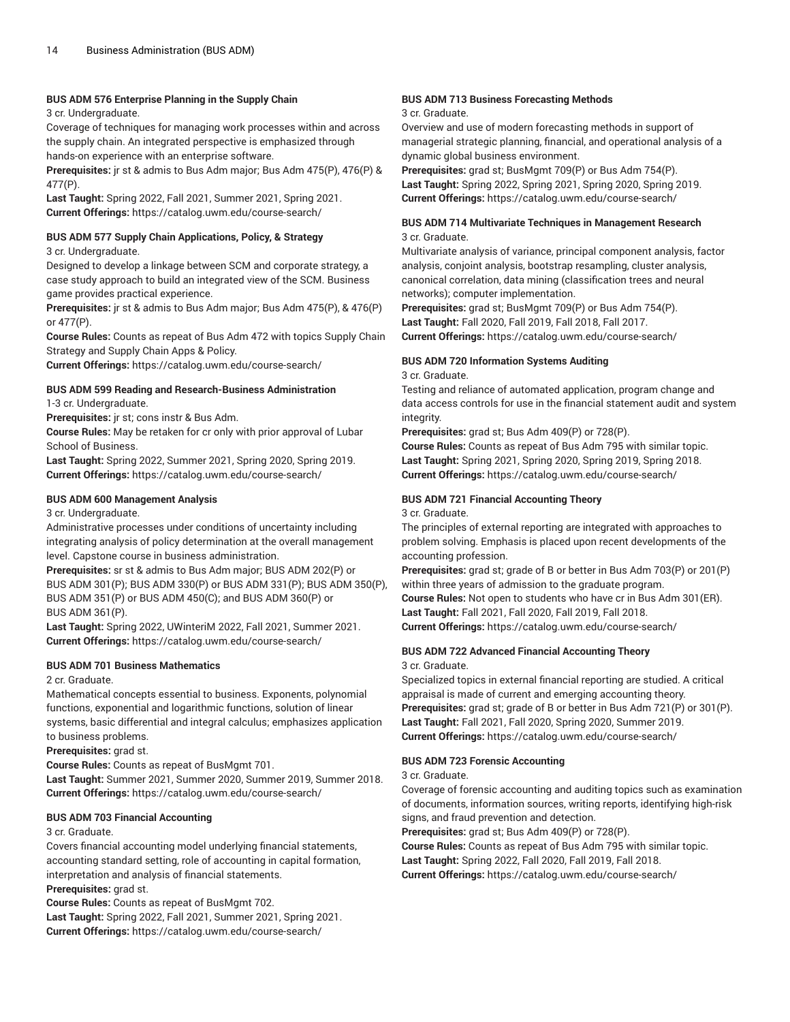#### **BUS ADM 576 Enterprise Planning in the Supply Chain**

3 cr. Undergraduate.

Coverage of techniques for managing work processes within and across the supply chain. An integrated perspective is emphasized through hands-on experience with an enterprise software.

**Prerequisites:** jr st & admis to Bus Adm major; Bus Adm 475(P), 476(P) & 477(P).

**Last Taught:** Spring 2022, Fall 2021, Summer 2021, Spring 2021. **Current Offerings:** <https://catalog.uwm.edu/course-search/>

#### **BUS ADM 577 Supply Chain Applications, Policy, & Strategy**

3 cr. Undergraduate.

Designed to develop a linkage between SCM and corporate strategy, a case study approach to build an integrated view of the SCM. Business game provides practical experience.

**Prerequisites:** jr st & admis to Bus Adm major; Bus Adm 475(P), & 476(P) or 477(P).

**Course Rules:** Counts as repeat of Bus Adm 472 with topics Supply Chain Strategy and Supply Chain Apps & Policy.

**Current Offerings:** <https://catalog.uwm.edu/course-search/>

#### **BUS ADM 599 Reading and Research-Business Administration**

1-3 cr. Undergraduate.

**Prerequisites:** jr st; cons instr & Bus Adm.

**Course Rules:** May be retaken for cr only with prior approval of Lubar School of Business.

**Last Taught:** Spring 2022, Summer 2021, Spring 2020, Spring 2019. **Current Offerings:** <https://catalog.uwm.edu/course-search/>

#### **BUS ADM 600 Management Analysis**

3 cr. Undergraduate.

Administrative processes under conditions of uncertainty including integrating analysis of policy determination at the overall management level. Capstone course in business administration.

**Prerequisites:** sr st & admis to Bus Adm major; BUS ADM 202(P) or BUS ADM 301(P); BUS ADM 330(P) or BUS ADM 331(P); BUS ADM 350(P), BUS ADM 351(P) or BUS ADM 450(C); and BUS ADM 360(P) or BUS ADM 361(P).

**Last Taught:** Spring 2022, UWinteriM 2022, Fall 2021, Summer 2021. **Current Offerings:** <https://catalog.uwm.edu/course-search/>

#### **BUS ADM 701 Business Mathematics**

2 cr. Graduate.

Mathematical concepts essential to business. Exponents, polynomial functions, exponential and logarithmic functions, solution of linear systems, basic differential and integral calculus; emphasizes application to business problems.

**Prerequisites:** grad st.

**Course Rules:** Counts as repeat of BusMgmt 701.

**Last Taught:** Summer 2021, Summer 2020, Summer 2019, Summer 2018. **Current Offerings:** <https://catalog.uwm.edu/course-search/>

#### **BUS ADM 703 Financial Accounting**

#### 3 cr. Graduate.

Covers financial accounting model underlying financial statements, accounting standard setting, role of accounting in capital formation, interpretation and analysis of financial statements. **Prerequisites:** grad st.

**Course Rules:** Counts as repeat of BusMgmt 702. **Last Taught:** Spring 2022, Fall 2021, Summer 2021, Spring 2021. **Current Offerings:** <https://catalog.uwm.edu/course-search/>

#### **BUS ADM 713 Business Forecasting Methods**

#### 3 cr. Graduate.

Overview and use of modern forecasting methods in support of managerial strategic planning, financial, and operational analysis of a dynamic global business environment.

**Prerequisites:** grad st; BusMgmt 709(P) or Bus Adm 754(P). **Last Taught:** Spring 2022, Spring 2021, Spring 2020, Spring 2019. **Current Offerings:** <https://catalog.uwm.edu/course-search/>

#### **BUS ADM 714 Multivariate Techniques in Management Research** 3 cr. Graduate.

Multivariate analysis of variance, principal component analysis, factor analysis, conjoint analysis, bootstrap resampling, cluster analysis, canonical correlation, data mining (classification trees and neural networks); computer implementation.

**Prerequisites:** grad st; BusMgmt 709(P) or Bus Adm 754(P). **Last Taught:** Fall 2020, Fall 2019, Fall 2018, Fall 2017.

**Current Offerings:** <https://catalog.uwm.edu/course-search/>

#### **BUS ADM 720 Information Systems Auditing**

3 cr. Graduate.

Testing and reliance of automated application, program change and data access controls for use in the financial statement audit and system integrity.

**Prerequisites:** grad st; Bus Adm 409(P) or 728(P).

**Course Rules:** Counts as repeat of Bus Adm 795 with similar topic. **Last Taught:** Spring 2021, Spring 2020, Spring 2019, Spring 2018. **Current Offerings:** <https://catalog.uwm.edu/course-search/>

#### **BUS ADM 721 Financial Accounting Theory**

3 cr. Graduate.

The principles of external reporting are integrated with approaches to problem solving. Emphasis is placed upon recent developments of the accounting profession.

**Prerequisites:** grad st; grade of B or better in Bus Adm 703(P) or 201(P) within three years of admission to the graduate program. **Course Rules:** Not open to students who have cr in Bus Adm 301(ER). **Last Taught:** Fall 2021, Fall 2020, Fall 2019, Fall 2018. **Current Offerings:** <https://catalog.uwm.edu/course-search/>

#### **BUS ADM 722 Advanced Financial Accounting Theory**

3 cr. Graduate.

Specialized topics in external financial reporting are studied. A critical appraisal is made of current and emerging accounting theory. **Prerequisites:** grad st; grade of B or better in Bus Adm 721(P) or 301(P). **Last Taught:** Fall 2021, Fall 2020, Spring 2020, Summer 2019. **Current Offerings:** <https://catalog.uwm.edu/course-search/>

#### **BUS ADM 723 Forensic Accounting**

3 cr. Graduate.

Coverage of forensic accounting and auditing topics such as examination of documents, information sources, writing reports, identifying high-risk signs, and fraud prevention and detection.

**Prerequisites:** grad st; Bus Adm 409(P) or 728(P).

**Course Rules:** Counts as repeat of Bus Adm 795 with similar topic.

**Last Taught:** Spring 2022, Fall 2020, Fall 2019, Fall 2018. **Current Offerings:** <https://catalog.uwm.edu/course-search/>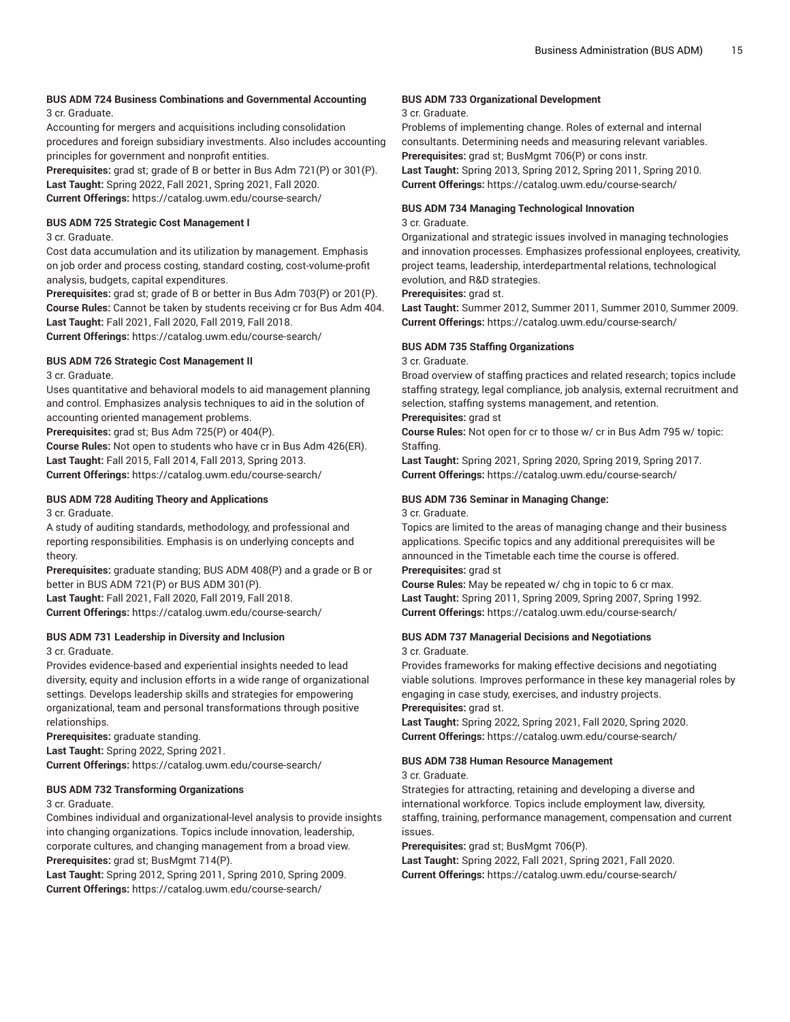#### **BUS ADM 724 Business Combinations and Governmental Accounting** 3 cr. Graduate.

Accounting for mergers and acquisitions including consolidation procedures and foreign subsidiary investments. Also includes accounting principles for government and nonprofit entities.

**Prerequisites:** grad st; grade of B or better in Bus Adm 721(P) or 301(P). **Last Taught:** Spring 2022, Fall 2021, Spring 2021, Fall 2020. **Current Offerings:** <https://catalog.uwm.edu/course-search/>

#### **BUS ADM 725 Strategic Cost Management I**

3 cr. Graduate.

Cost data accumulation and its utilization by management. Emphasis on job order and process costing, standard costing, cost-volume-profit analysis, budgets, capital expenditures.

**Prerequisites:** grad st; grade of B or better in Bus Adm 703(P) or 201(P). **Course Rules:** Cannot be taken by students receiving cr for Bus Adm 404. **Last Taught:** Fall 2021, Fall 2020, Fall 2019, Fall 2018.

**Current Offerings:** <https://catalog.uwm.edu/course-search/>

#### **BUS ADM 726 Strategic Cost Management II**

3 cr. Graduate.

Uses quantitative and behavioral models to aid management planning and control. Emphasizes analysis techniques to aid in the solution of accounting oriented management problems.

**Prerequisites:** grad st; Bus Adm 725(P) or 404(P).

**Course Rules:** Not open to students who have cr in Bus Adm 426(ER). **Last Taught:** Fall 2015, Fall 2014, Fall 2013, Spring 2013. **Current Offerings:** <https://catalog.uwm.edu/course-search/>

#### **BUS ADM 728 Auditing Theory and Applications** 3 cr. Graduate.

A study of auditing standards, methodology, and professional and reporting responsibilities. Emphasis is on underlying concepts and theory.

**Prerequisites:** graduate standing; BUS ADM 408(P) and a grade or B or better in BUS ADM 721(P) or BUS ADM 301(P).

**Last Taught:** Fall 2021, Fall 2020, Fall 2019, Fall 2018. **Current Offerings:** <https://catalog.uwm.edu/course-search/>

# **BUS ADM 731 Leadership in Diversity and Inclusion**

3 cr. Graduate.

Provides evidence-based and experiential insights needed to lead diversity, equity and inclusion efforts in a wide range of organizational settings. Develops leadership skills and strategies for empowering organizational, team and personal transformations through positive relationships.

**Prerequisites:** graduate standing.

**Last Taught:** Spring 2022, Spring 2021.

**Current Offerings:** <https://catalog.uwm.edu/course-search/>

#### **BUS ADM 732 Transforming Organizations**

3 cr. Graduate.

Combines individual and organizational-level analysis to provide insights into changing organizations. Topics include innovation, leadership, corporate cultures, and changing management from a broad view. **Prerequisites:** grad st; BusMgmt 714(P).

**Last Taught:** Spring 2012, Spring 2011, Spring 2010, Spring 2009. **Current Offerings:** <https://catalog.uwm.edu/course-search/>

#### **BUS ADM 733 Organizational Development**

#### 3 cr. Graduate.

Problems of implementing change. Roles of external and internal consultants. Determining needs and measuring relevant variables. **Prerequisites:** grad st; BusMgmt 706(P) or cons instr.

**Last Taught:** Spring 2013, Spring 2012, Spring 2011, Spring 2010. **Current Offerings:** <https://catalog.uwm.edu/course-search/>

#### **BUS ADM 734 Managing Technological Innovation**

#### 3 cr. Graduate.

Organizational and strategic issues involved in managing technologies and innovation processes. Emphasizes professional enployees, creativity, project teams, leadership, interdepartmental relations, technological evolution, and R&D strategies.

#### **Prerequisites:** grad st.

**Last Taught:** Summer 2012, Summer 2011, Summer 2010, Summer 2009. **Current Offerings:** <https://catalog.uwm.edu/course-search/>

#### **BUS ADM 735 Staffing Organizations**

#### 3 cr. Graduate.

Broad overview of staffing practices and related research; topics include staffing strategy, legal compliance, job analysis, external recruitment and selection, staffing systems management, and retention.

#### **Prerequisites:** grad st

**Course Rules:** Not open for cr to those w/ cr in Bus Adm 795 w/ topic: Staffing.

**Last Taught:** Spring 2021, Spring 2020, Spring 2019, Spring 2017. **Current Offerings:** <https://catalog.uwm.edu/course-search/>

#### **BUS ADM 736 Seminar in Managing Change:**

3 cr. Graduate.

Topics are limited to the areas of managing change and their business applications. Specific topics and any additional prerequisites will be announced in the Timetable each time the course is offered. **Prerequisites:** grad st

**Course Rules:** May be repeated w/ chg in topic to 6 cr max. **Last Taught:** Spring 2011, Spring 2009, Spring 2007, Spring 1992. **Current Offerings:** <https://catalog.uwm.edu/course-search/>

#### **BUS ADM 737 Managerial Decisions and Negotiations** 3 cr. Graduate.

Provides frameworks for making effective decisions and negotiating viable solutions. Improves performance in these key managerial roles by engaging in case study, exercises, and industry projects.

### **Prerequisites:** grad st.

**Last Taught:** Spring 2022, Spring 2021, Fall 2020, Spring 2020. **Current Offerings:** <https://catalog.uwm.edu/course-search/>

#### **BUS ADM 738 Human Resource Management**

3 cr. Graduate.

Strategies for attracting, retaining and developing a diverse and international workforce. Topics include employment law, diversity, staffing, training, performance management, compensation and current issues.

#### **Prerequisites:** grad st; BusMgmt 706(P).

**Last Taught:** Spring 2022, Fall 2021, Spring 2021, Fall 2020. **Current Offerings:** <https://catalog.uwm.edu/course-search/>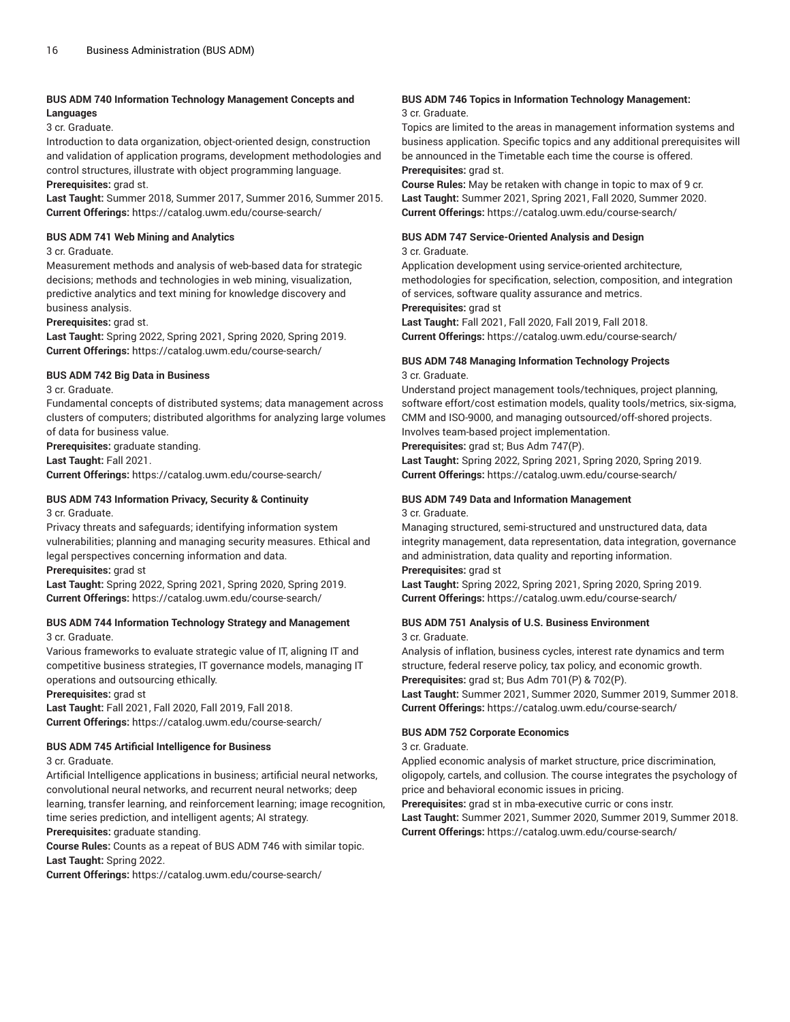#### **BUS ADM 740 Information Technology Management Concepts and Languages**

3 cr. Graduate.

Introduction to data organization, object-oriented design, construction and validation of application programs, development methodologies and control structures, illustrate with object programming language. **Prerequisites:** grad st.

**Last Taught:** Summer 2018, Summer 2017, Summer 2016, Summer 2015. **Current Offerings:** <https://catalog.uwm.edu/course-search/>

#### **BUS ADM 741 Web Mining and Analytics**

#### 3 cr. Graduate.

Measurement methods and analysis of web-based data for strategic decisions; methods and technologies in web mining, visualization, predictive analytics and text mining for knowledge discovery and business analysis.

**Prerequisites:** grad st.

**Last Taught:** Spring 2022, Spring 2021, Spring 2020, Spring 2019. **Current Offerings:** <https://catalog.uwm.edu/course-search/>

#### **BUS ADM 742 Big Data in Business**

3 cr. Graduate.

Fundamental concepts of distributed systems; data management across clusters of computers; distributed algorithms for analyzing large volumes of data for business value.

**Prerequisites:** graduate standing.

**Last Taught:** Fall 2021.

**Current Offerings:** <https://catalog.uwm.edu/course-search/>

#### **BUS ADM 743 Information Privacy, Security & Continuity** 3 cr. Graduate.

Privacy threats and safeguards; identifying information system vulnerabilities; planning and managing security measures. Ethical and legal perspectives concerning information and data.

**Prerequisites:** grad st

**Last Taught:** Spring 2022, Spring 2021, Spring 2020, Spring 2019. **Current Offerings:** <https://catalog.uwm.edu/course-search/>

#### **BUS ADM 744 Information Technology Strategy and Management** 3 cr. Graduate.

Various frameworks to evaluate strategic value of IT, aligning IT and competitive business strategies, IT governance models, managing IT operations and outsourcing ethically.

**Prerequisites:** grad st

**Last Taught:** Fall 2021, Fall 2020, Fall 2019, Fall 2018. **Current Offerings:** <https://catalog.uwm.edu/course-search/>

# **BUS ADM 745 Artificial Intelligence for Business**

3 cr. Graduate.

Artificial Intelligence applications in business; artificial neural networks, convolutional neural networks, and recurrent neural networks; deep learning, transfer learning, and reinforcement learning; image recognition, time series prediction, and intelligent agents; AI strategy.

**Prerequisites:** graduate standing.

**Course Rules:** Counts as a repeat of BUS ADM 746 with similar topic. **Last Taught:** Spring 2022.

**Current Offerings:** <https://catalog.uwm.edu/course-search/>

#### **BUS ADM 746 Topics in Information Technology Management:** 3 cr. Graduate.

Topics are limited to the areas in management information systems and business application. Specific topics and any additional prerequisites will be announced in the Timetable each time the course is offered. **Prerequisites:** grad st.

**Course Rules:** May be retaken with change in topic to max of 9 cr. **Last Taught:** Summer 2021, Spring 2021, Fall 2020, Summer 2020. **Current Offerings:** <https://catalog.uwm.edu/course-search/>

#### **BUS ADM 747 Service-Oriented Analysis and Design** 3 cr. Graduate.

Application development using service-oriented architecture, methodologies for specification, selection, composition, and integration of services, software quality assurance and metrics. **Prerequisites:** grad st

**Last Taught:** Fall 2021, Fall 2020, Fall 2019, Fall 2018. **Current Offerings:** <https://catalog.uwm.edu/course-search/>

#### **BUS ADM 748 Managing Information Technology Projects** 3 cr. Graduate.

Understand project management tools/techniques, project planning, software effort/cost estimation models, quality tools/metrics, six-sigma, CMM and ISO-9000, and managing outsourced/off-shored projects. Involves team-based project implementation.

**Prerequisites:** grad st; Bus Adm 747(P).

**Last Taught:** Spring 2022, Spring 2021, Spring 2020, Spring 2019. **Current Offerings:** <https://catalog.uwm.edu/course-search/>

#### **BUS ADM 749 Data and Information Management** 3 cr. Graduate.

Managing structured, semi-structured and unstructured data, data integrity management, data representation, data integration, governance and administration, data quality and reporting information. **Prerequisites:** grad st

**Last Taught:** Spring 2022, Spring 2021, Spring 2020, Spring 2019. **Current Offerings:** <https://catalog.uwm.edu/course-search/>

#### **BUS ADM 751 Analysis of U.S. Business Environment** 3 cr. Graduate.

Analysis of inflation, business cycles, interest rate dynamics and term structure, federal reserve policy, tax policy, and economic growth. **Prerequisites:** grad st; Bus Adm 701(P) & 702(P).

**Last Taught:** Summer 2021, Summer 2020, Summer 2019, Summer 2018. **Current Offerings:** <https://catalog.uwm.edu/course-search/>

#### **BUS ADM 752 Corporate Economics**

3 cr. Graduate.

Applied economic analysis of market structure, price discrimination, oligopoly, cartels, and collusion. The course integrates the psychology of price and behavioral economic issues in pricing.

**Prerequisites:** grad st in mba-executive curric or cons instr.

**Last Taught:** Summer 2021, Summer 2020, Summer 2019, Summer 2018. **Current Offerings:** <https://catalog.uwm.edu/course-search/>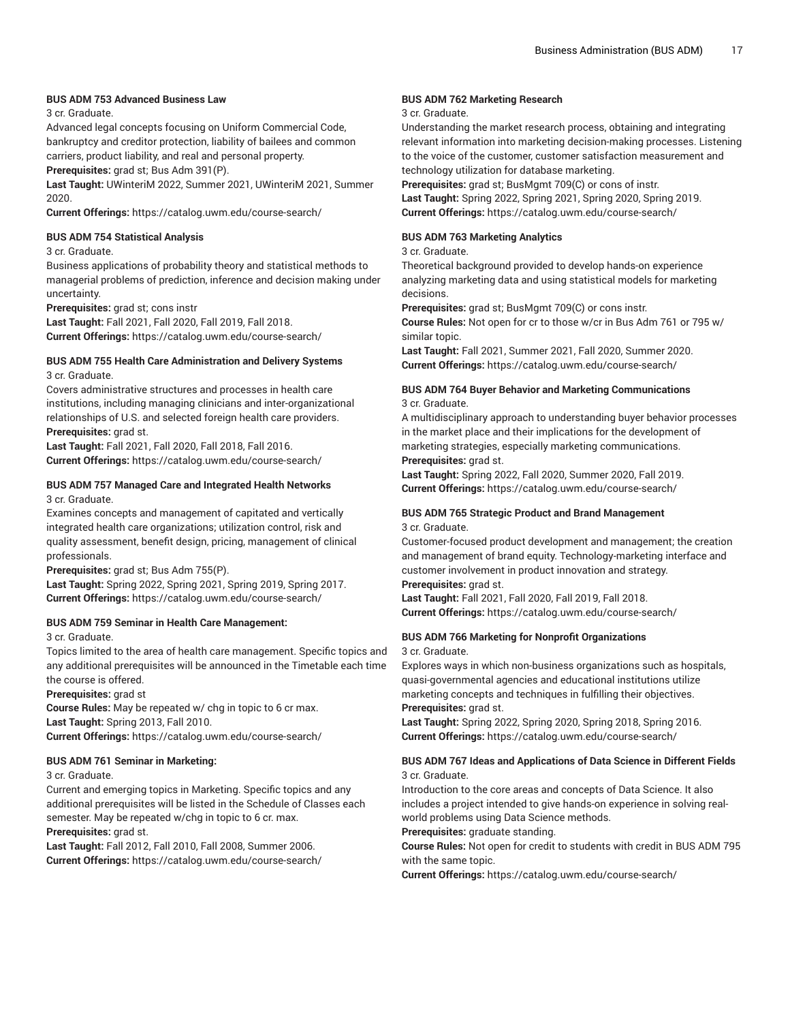#### **BUS ADM 753 Advanced Business Law**

#### 3 cr. Graduate.

Advanced legal concepts focusing on Uniform Commercial Code, bankruptcy and creditor protection, liability of bailees and common carriers, product liability, and real and personal property.

**Prerequisites:** grad st; Bus Adm 391(P).

**Last Taught:** UWinteriM 2022, Summer 2021, UWinteriM 2021, Summer 2020.

**Current Offerings:** <https://catalog.uwm.edu/course-search/>

#### **BUS ADM 754 Statistical Analysis**

#### 3 cr. Graduate.

Business applications of probability theory and statistical methods to managerial problems of prediction, inference and decision making under uncertainty.

**Prerequisites:** grad st; cons instr

**Last Taught:** Fall 2021, Fall 2020, Fall 2019, Fall 2018. **Current Offerings:** <https://catalog.uwm.edu/course-search/>

#### **BUS ADM 755 Health Care Administration and Delivery Systems** 3 cr. Graduate.

Covers administrative structures and processes in health care institutions, including managing clinicians and inter-organizational relationships of U.S. and selected foreign health care providers. **Prerequisites:** grad st.

**Last Taught:** Fall 2021, Fall 2020, Fall 2018, Fall 2016. **Current Offerings:** <https://catalog.uwm.edu/course-search/>

#### **BUS ADM 757 Managed Care and Integrated Health Networks** 3 cr. Graduate.

Examines concepts and management of capitated and vertically integrated health care organizations; utilization control, risk and quality assessment, benefit design, pricing, management of clinical professionals.

**Prerequisites:** grad st; Bus Adm 755(P).

**Last Taught:** Spring 2022, Spring 2021, Spring 2019, Spring 2017. **Current Offerings:** <https://catalog.uwm.edu/course-search/>

#### **BUS ADM 759 Seminar in Health Care Management:**

3 cr. Graduate.

Topics limited to the area of health care management. Specific topics and any additional prerequisites will be announced in the Timetable each time the course is offered.

**Prerequisites:** grad st

**Course Rules:** May be repeated w/ chg in topic to 6 cr max. **Last Taught:** Spring 2013, Fall 2010. **Current Offerings:** <https://catalog.uwm.edu/course-search/>

# **BUS ADM 761 Seminar in Marketing:**

3 cr. Graduate.

Current and emerging topics in Marketing. Specific topics and any additional prerequisites will be listed in the Schedule of Classes each semester. May be repeated w/chg in topic to 6 cr. max.

**Prerequisites:** grad st.

**Last Taught:** Fall 2012, Fall 2010, Fall 2008, Summer 2006. **Current Offerings:** <https://catalog.uwm.edu/course-search/>

#### **BUS ADM 762 Marketing Research**

#### 3 cr. Graduate.

Understanding the market research process, obtaining and integrating relevant information into marketing decision-making processes. Listening to the voice of the customer, customer satisfaction measurement and technology utilization for database marketing.

**Prerequisites:** grad st; BusMgmt 709(C) or cons of instr.

**Last Taught:** Spring 2022, Spring 2021, Spring 2020, Spring 2019. **Current Offerings:** <https://catalog.uwm.edu/course-search/>

#### **BUS ADM 763 Marketing Analytics**

#### 3 cr. Graduate.

Theoretical background provided to develop hands-on experience analyzing marketing data and using statistical models for marketing decisions.

**Prerequisites:** grad st; BusMgmt 709(C) or cons instr.

**Course Rules:** Not open for cr to those w/cr in Bus Adm 761 or 795 w/ similar topic.

**Last Taught:** Fall 2021, Summer 2021, Fall 2020, Summer 2020. **Current Offerings:** <https://catalog.uwm.edu/course-search/>

#### **BUS ADM 764 Buyer Behavior and Marketing Communications** 3 cr. Graduate.

A multidisciplinary approach to understanding buyer behavior processes in the market place and their implications for the development of marketing strategies, especially marketing communications. **Prerequisites:** grad st.

**Last Taught:** Spring 2022, Fall 2020, Summer 2020, Fall 2019. **Current Offerings:** <https://catalog.uwm.edu/course-search/>

#### **BUS ADM 765 Strategic Product and Brand Management** 3 cr. Graduate.

Customer-focused product development and management; the creation and management of brand equity. Technology-marketing interface and customer involvement in product innovation and strategy.

**Prerequisites:** grad st.

**Last Taught:** Fall 2021, Fall 2020, Fall 2019, Fall 2018. **Current Offerings:** <https://catalog.uwm.edu/course-search/>

### **BUS ADM 766 Marketing for Nonprofit Organizations**

3 cr. Graduate.

Explores ways in which non-business organizations such as hospitals, quasi-governmental agencies and educational institutions utilize marketing concepts and techniques in fulfilling their objectives. **Prerequisites:** grad st.

**Last Taught:** Spring 2022, Spring 2020, Spring 2018, Spring 2016. **Current Offerings:** <https://catalog.uwm.edu/course-search/>

#### **BUS ADM 767 Ideas and Applications of Data Science in Different Fields** 3 cr. Graduate.

Introduction to the core areas and concepts of Data Science. It also includes a project intended to give hands-on experience in solving realworld problems using Data Science methods.

#### **Prerequisites:** graduate standing.

**Course Rules:** Not open for credit to students with credit in BUS ADM 795 with the same topic.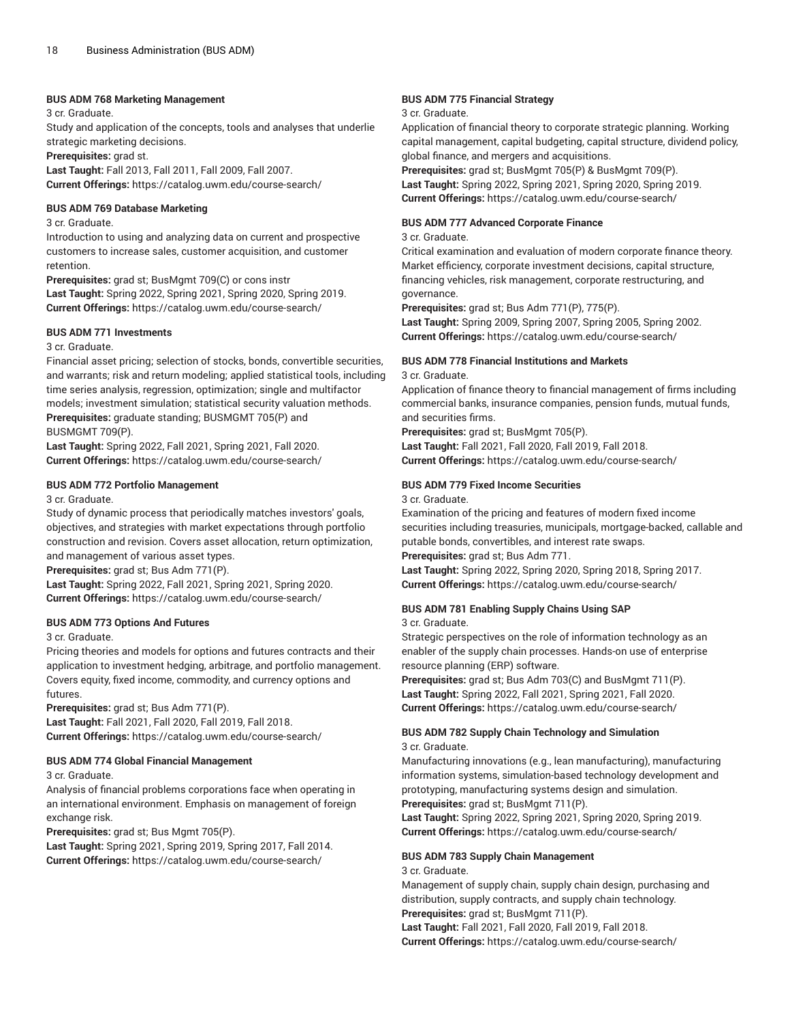#### **BUS ADM 768 Marketing Management**

3 cr. Graduate.

Study and application of the concepts, tools and analyses that underlie strategic marketing decisions.

**Prerequisites:** grad st.

**Last Taught:** Fall 2013, Fall 2011, Fall 2009, Fall 2007. **Current Offerings:** <https://catalog.uwm.edu/course-search/>

#### **BUS ADM 769 Database Marketing**

3 cr. Graduate.

Introduction to using and analyzing data on current and prospective customers to increase sales, customer acquisition, and customer retention.

**Prerequisites:** grad st; BusMgmt 709(C) or cons instr **Last Taught:** Spring 2022, Spring 2021, Spring 2020, Spring 2019. **Current Offerings:** <https://catalog.uwm.edu/course-search/>

#### **BUS ADM 771 Investments**

3 cr. Graduate.

Financial asset pricing; selection of stocks, bonds, convertible securities, and warrants; risk and return modeling; applied statistical tools, including time series analysis, regression, optimization; single and multifactor models; investment simulation; statistical security valuation methods. **Prerequisites:** graduate standing; BUSMGMT 705(P) and BUSMGMT 709(P).

**Last Taught:** Spring 2022, Fall 2021, Spring 2021, Fall 2020. **Current Offerings:** <https://catalog.uwm.edu/course-search/>

#### **BUS ADM 772 Portfolio Management**

#### 3 cr. Graduate.

Study of dynamic process that periodically matches investors' goals, objectives, and strategies with market expectations through portfolio construction and revision. Covers asset allocation, return optimization, and management of various asset types.

**Prerequisites:** grad st; Bus Adm 771(P).

**Last Taught:** Spring 2022, Fall 2021, Spring 2021, Spring 2020. **Current Offerings:** <https://catalog.uwm.edu/course-search/>

#### **BUS ADM 773 Options And Futures**

3 cr. Graduate.

Pricing theories and models for options and futures contracts and their application to investment hedging, arbitrage, and portfolio management. Covers equity, fixed income, commodity, and currency options and futures.

**Prerequisites:** grad st; Bus Adm 771(P). **Last Taught:** Fall 2021, Fall 2020, Fall 2019, Fall 2018. **Current Offerings:** <https://catalog.uwm.edu/course-search/>

#### **BUS ADM 774 Global Financial Management**

3 cr. Graduate.

Analysis of financial problems corporations face when operating in an international environment. Emphasis on management of foreign exchange risk.

**Prerequisites:** grad st; Bus Mgmt 705(P).

**Last Taught:** Spring 2021, Spring 2019, Spring 2017, Fall 2014. **Current Offerings:** <https://catalog.uwm.edu/course-search/>

#### **BUS ADM 775 Financial Strategy**

#### 3 cr. Graduate.

Application of financial theory to corporate strategic planning. Working capital management, capital budgeting, capital structure, dividend policy, global finance, and mergers and acquisitions.

**Prerequisites:** grad st; BusMgmt 705(P) & BusMgmt 709(P). **Last Taught:** Spring 2022, Spring 2021, Spring 2020, Spring 2019. **Current Offerings:** <https://catalog.uwm.edu/course-search/>

#### **BUS ADM 777 Advanced Corporate Finance**

#### 3 cr. Graduate.

Critical examination and evaluation of modern corporate finance theory. Market efficiency, corporate investment decisions, capital structure, financing vehicles, risk management, corporate restructuring, and governance.

**Prerequisites:** grad st; Bus Adm 771(P), 775(P).

**Last Taught:** Spring 2009, Spring 2007, Spring 2005, Spring 2002. **Current Offerings:** <https://catalog.uwm.edu/course-search/>

#### **BUS ADM 778 Financial Institutions and Markets**

3 cr. Graduate.

Application of finance theory to financial management of firms including commercial banks, insurance companies, pension funds, mutual funds, and securities firms.

**Prerequisites:** grad st; BusMgmt 705(P). **Last Taught:** Fall 2021, Fall 2020, Fall 2019, Fall 2018. **Current Offerings:** <https://catalog.uwm.edu/course-search/>

#### **BUS ADM 779 Fixed Income Securities**

3 cr. Graduate.

Examination of the pricing and features of modern fixed income securities including treasuries, municipals, mortgage-backed, callable and putable bonds, convertibles, and interest rate swaps. **Prerequisites:** grad st; Bus Adm 771.

**Last Taught:** Spring 2022, Spring 2020, Spring 2018, Spring 2017. **Current Offerings:** <https://catalog.uwm.edu/course-search/>

### **BUS ADM 781 Enabling Supply Chains Using SAP**

3 cr. Graduate.

Strategic perspectives on the role of information technology as an enabler of the supply chain processes. Hands-on use of enterprise resource planning (ERP) software.

**Prerequisites:** grad st; Bus Adm 703(C) and BusMgmt 711(P). **Last Taught:** Spring 2022, Fall 2021, Spring 2021, Fall 2020. **Current Offerings:** <https://catalog.uwm.edu/course-search/>

#### **BUS ADM 782 Supply Chain Technology and Simulation** 3 cr. Graduate.

Manufacturing innovations (e.g., lean manufacturing), manufacturing information systems, simulation-based technology development and prototyping, manufacturing systems design and simulation. **Prerequisites:** grad st; BusMgmt 711(P).

**Last Taught:** Spring 2022, Spring 2021, Spring 2020, Spring 2019. **Current Offerings:** <https://catalog.uwm.edu/course-search/>

#### **BUS ADM 783 Supply Chain Management**

#### 3 cr. Graduate.

Management of supply chain, supply chain design, purchasing and distribution, supply contracts, and supply chain technology. **Prerequisites:** grad st; BusMgmt 711(P). **Last Taught:** Fall 2021, Fall 2020, Fall 2019, Fall 2018.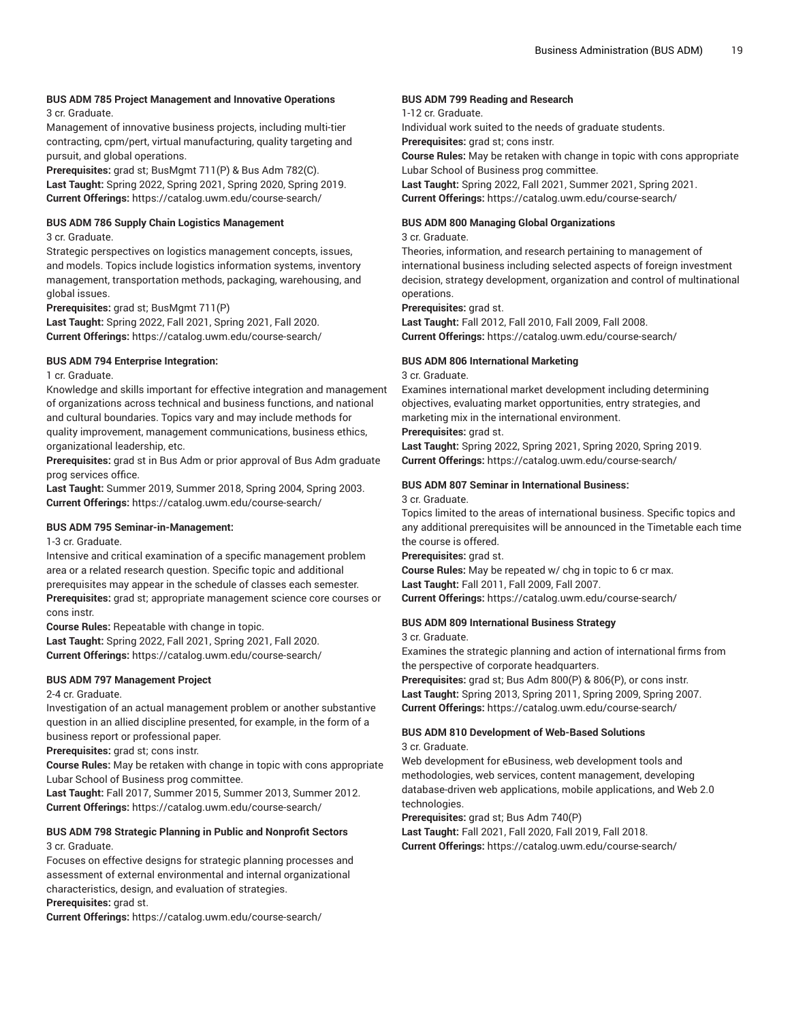# **BUS ADM 785 Project Management and Innovative Operations**

3 cr. Graduate.

Management of innovative business projects, including multi-tier contracting, cpm/pert, virtual manufacturing, quality targeting and pursuit, and global operations.

**Prerequisites:** grad st; BusMgmt 711(P) & Bus Adm 782(C). **Last Taught:** Spring 2022, Spring 2021, Spring 2020, Spring 2019. **Current Offerings:** <https://catalog.uwm.edu/course-search/>

#### **BUS ADM 786 Supply Chain Logistics Management**

3 cr. Graduate.

Strategic perspectives on logistics management concepts, issues, and models. Topics include logistics information systems, inventory management, transportation methods, packaging, warehousing, and global issues.

**Prerequisites:** grad st; BusMgmt 711(P)

**Last Taught:** Spring 2022, Fall 2021, Spring 2021, Fall 2020. **Current Offerings:** <https://catalog.uwm.edu/course-search/>

#### **BUS ADM 794 Enterprise Integration:**

1 cr. Graduate.

Knowledge and skills important for effective integration and management of organizations across technical and business functions, and national and cultural boundaries. Topics vary and may include methods for quality improvement, management communications, business ethics, organizational leadership, etc.

**Prerequisites:** grad st in Bus Adm or prior approval of Bus Adm graduate prog services office.

**Last Taught:** Summer 2019, Summer 2018, Spring 2004, Spring 2003. **Current Offerings:** <https://catalog.uwm.edu/course-search/>

#### **BUS ADM 795 Seminar-in-Management:**

1-3 cr. Graduate.

Intensive and critical examination of a specific management problem area or a related research question. Specific topic and additional prerequisites may appear in the schedule of classes each semester. **Prerequisites:** grad st; appropriate management science core courses or cons instr.

**Course Rules:** Repeatable with change in topic. **Last Taught:** Spring 2022, Fall 2021, Spring 2021, Fall 2020. **Current Offerings:** <https://catalog.uwm.edu/course-search/>

#### **BUS ADM 797 Management Project**

2-4 cr. Graduate.

Investigation of an actual management problem or another substantive question in an allied discipline presented, for example, in the form of a business report or professional paper.

**Prerequisites:** grad st; cons instr.

**Course Rules:** May be retaken with change in topic with cons appropriate Lubar School of Business prog committee.

**Last Taught:** Fall 2017, Summer 2015, Summer 2013, Summer 2012. **Current Offerings:** <https://catalog.uwm.edu/course-search/>

#### **BUS ADM 798 Strategic Planning in Public and Nonprofit Sectors** 3 cr. Graduate.

Focuses on effective designs for strategic planning processes and assessment of external environmental and internal organizational characteristics, design, and evaluation of strategies.

**Prerequisites:** grad st.

**Current Offerings:** <https://catalog.uwm.edu/course-search/>

#### **BUS ADM 799 Reading and Research**

#### 1-12 cr. Graduate.

Individual work suited to the needs of graduate students.

**Prerequisites:** grad st; cons instr. **Course Rules:** May be retaken with change in topic with cons appropriate

Lubar School of Business prog committee.

**Last Taught:** Spring 2022, Fall 2021, Summer 2021, Spring 2021. **Current Offerings:** <https://catalog.uwm.edu/course-search/>

#### **BUS ADM 800 Managing Global Organizations**

#### 3 cr. Graduate.

Theories, information, and research pertaining to management of international business including selected aspects of foreign investment decision, strategy development, organization and control of multinational operations.

**Prerequisites:** grad st.

**Last Taught:** Fall 2012, Fall 2010, Fall 2009, Fall 2008. **Current Offerings:** <https://catalog.uwm.edu/course-search/>

#### **BUS ADM 806 International Marketing**

3 cr. Graduate.

Examines international market development including determining objectives, evaluating market opportunities, entry strategies, and marketing mix in the international environment.

**Prerequisites:** grad st.

**Last Taught:** Spring 2022, Spring 2021, Spring 2020, Spring 2019. **Current Offerings:** <https://catalog.uwm.edu/course-search/>

#### **BUS ADM 807 Seminar in International Business:**

3 cr. Graduate.

Topics limited to the areas of international business. Specific topics and any additional prerequisites will be announced in the Timetable each time the course is offered.

**Prerequisites:** grad st.

**Course Rules:** May be repeated w/ chg in topic to 6 cr max. **Last Taught:** Fall 2011, Fall 2009, Fall 2007. **Current Offerings:** <https://catalog.uwm.edu/course-search/>

#### **BUS ADM 809 International Business Strategy**

3 cr. Graduate.

Examines the strategic planning and action of international firms from the perspective of corporate headquarters.

**Prerequisites:** grad st; Bus Adm 800(P) & 806(P), or cons instr. **Last Taught:** Spring 2013, Spring 2011, Spring 2009, Spring 2007. **Current Offerings:** <https://catalog.uwm.edu/course-search/>

# **BUS ADM 810 Development of Web-Based Solutions**

3 cr. Graduate.

Web development for eBusiness, web development tools and methodologies, web services, content management, developing database-driven web applications, mobile applications, and Web 2.0 technologies.

**Prerequisites:** grad st; Bus Adm 740(P)

**Last Taught:** Fall 2021, Fall 2020, Fall 2019, Fall 2018. **Current Offerings:** <https://catalog.uwm.edu/course-search/>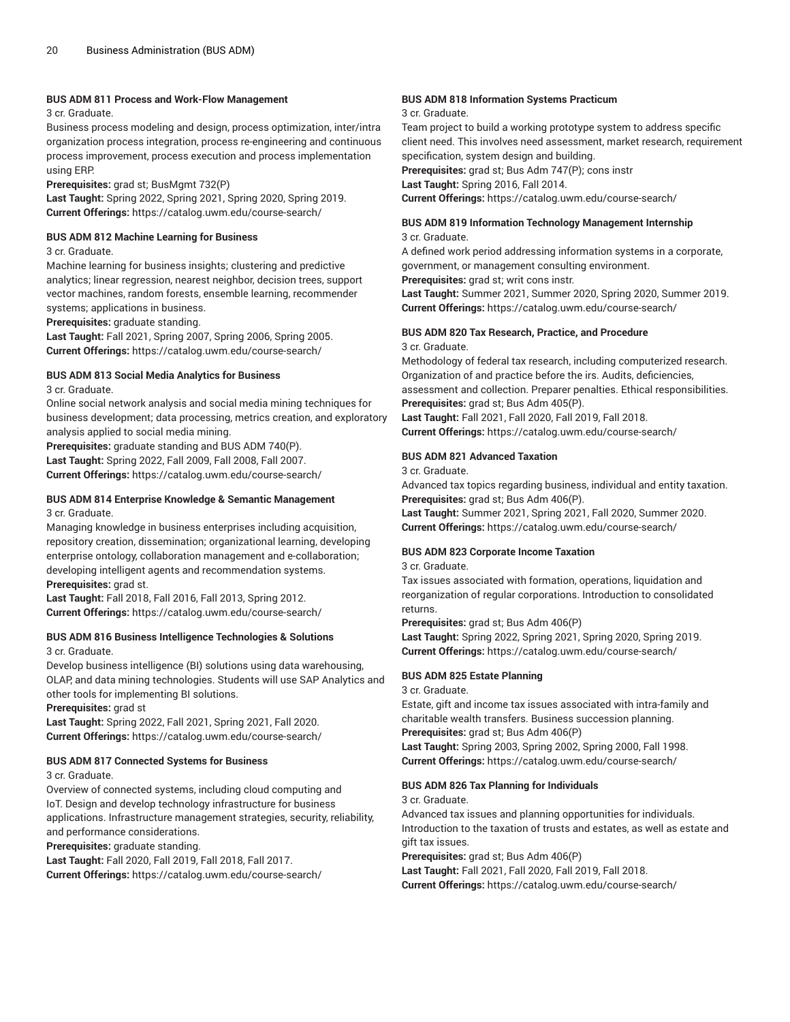#### **BUS ADM 811 Process and Work-Flow Management**

#### 3 cr. Graduate.

Business process modeling and design, process optimization, inter/intra organization process integration, process re-engineering and continuous process improvement, process execution and process implementation using ERP.

**Prerequisites:** grad st; BusMgmt 732(P)

**Last Taught:** Spring 2022, Spring 2021, Spring 2020, Spring 2019. **Current Offerings:** <https://catalog.uwm.edu/course-search/>

#### **BUS ADM 812 Machine Learning for Business**

#### 3 cr. Graduate.

Machine learning for business insights; clustering and predictive analytics; linear regression, nearest neighbor, decision trees, support vector machines, random forests, ensemble learning, recommender systems; applications in business.

**Prerequisites:** graduate standing.

**Last Taught:** Fall 2021, Spring 2007, Spring 2006, Spring 2005. **Current Offerings:** <https://catalog.uwm.edu/course-search/>

#### **BUS ADM 813 Social Media Analytics for Business**

3 cr. Graduate.

Online social network analysis and social media mining techniques for business development; data processing, metrics creation, and exploratory analysis applied to social media mining.

**Prerequisites:** graduate standing and BUS ADM 740(P). **Last Taught:** Spring 2022, Fall 2009, Fall 2008, Fall 2007. **Current Offerings:** <https://catalog.uwm.edu/course-search/>

#### **BUS ADM 814 Enterprise Knowledge & Semantic Management** 3 cr. Graduate.

Managing knowledge in business enterprises including acquisition, repository creation, dissemination; organizational learning, developing enterprise ontology, collaboration management and e-collaboration; developing intelligent agents and recommendation systems. **Prerequisites:** grad st.

**Last Taught:** Fall 2018, Fall 2016, Fall 2013, Spring 2012. **Current Offerings:** <https://catalog.uwm.edu/course-search/>

#### **BUS ADM 816 Business Intelligence Technologies & Solutions** 3 cr. Graduate.

Develop business intelligence (BI) solutions using data warehousing, OLAP, and data mining technologies. Students will use SAP Analytics and other tools for implementing BI solutions.

**Prerequisites:** grad st

**Last Taught:** Spring 2022, Fall 2021, Spring 2021, Fall 2020. **Current Offerings:** <https://catalog.uwm.edu/course-search/>

#### **BUS ADM 817 Connected Systems for Business**

3 cr. Graduate.

Overview of connected systems, including cloud computing and IoT. Design and develop technology infrastructure for business applications. Infrastructure management strategies, security, reliability, and performance considerations.

**Prerequisites:** graduate standing.

**Last Taught:** Fall 2020, Fall 2019, Fall 2018, Fall 2017.

**Current Offerings:** <https://catalog.uwm.edu/course-search/>

#### **BUS ADM 818 Information Systems Practicum**

#### 3 cr. Graduate.

Team project to build a working prototype system to address specific client need. This involves need assessment, market research, requirement specification, system design and building.

**Prerequisites:** grad st; Bus Adm 747(P); cons instr **Last Taught:** Spring 2016, Fall 2014.

**Current Offerings:** <https://catalog.uwm.edu/course-search/>

#### **BUS ADM 819 Information Technology Management Internship**

3 cr. Graduate.

A defined work period addressing information systems in a corporate, government, or management consulting environment.

**Prerequisites:** grad st; writ cons instr.

**Last Taught:** Summer 2021, Summer 2020, Spring 2020, Summer 2019. **Current Offerings:** <https://catalog.uwm.edu/course-search/>

#### **BUS ADM 820 Tax Research, Practice, and Procedure** 3 cr. Graduate.

Methodology of federal tax research, including computerized research. Organization of and practice before the irs. Audits, deficiencies, assessment and collection. Preparer penalties. Ethical responsibilities. **Prerequisites:** grad st; Bus Adm 405(P).

**Last Taught:** Fall 2021, Fall 2020, Fall 2019, Fall 2018. **Current Offerings:** <https://catalog.uwm.edu/course-search/>

#### **BUS ADM 821 Advanced Taxation**

3 cr. Graduate.

Advanced tax topics regarding business, individual and entity taxation. **Prerequisites:** grad st; Bus Adm 406(P).

**Last Taught:** Summer 2021, Spring 2021, Fall 2020, Summer 2020. **Current Offerings:** <https://catalog.uwm.edu/course-search/>

#### **BUS ADM 823 Corporate Income Taxation**

3 cr. Graduate.

Tax issues associated with formation, operations, liquidation and reorganization of regular corporations. Introduction to consolidated returns.

**Prerequisites:** grad st; Bus Adm 406(P)

**Last Taught:** Spring 2022, Spring 2021, Spring 2020, Spring 2019. **Current Offerings:** <https://catalog.uwm.edu/course-search/>

#### **BUS ADM 825 Estate Planning**

3 cr. Graduate.

Estate, gift and income tax issues associated with intra-family and charitable wealth transfers. Business succession planning. **Prerequisites:** grad st; Bus Adm 406(P)

**Last Taught:** Spring 2003, Spring 2002, Spring 2000, Fall 1998. **Current Offerings:** <https://catalog.uwm.edu/course-search/>

# **BUS ADM 826 Tax Planning for Individuals**

3 cr. Graduate.

Advanced tax issues and planning opportunities for individuals. Introduction to the taxation of trusts and estates, as well as estate and gift tax issues.

**Prerequisites:** grad st; Bus Adm 406(P)

**Last Taught:** Fall 2021, Fall 2020, Fall 2019, Fall 2018. **Current Offerings:** <https://catalog.uwm.edu/course-search/>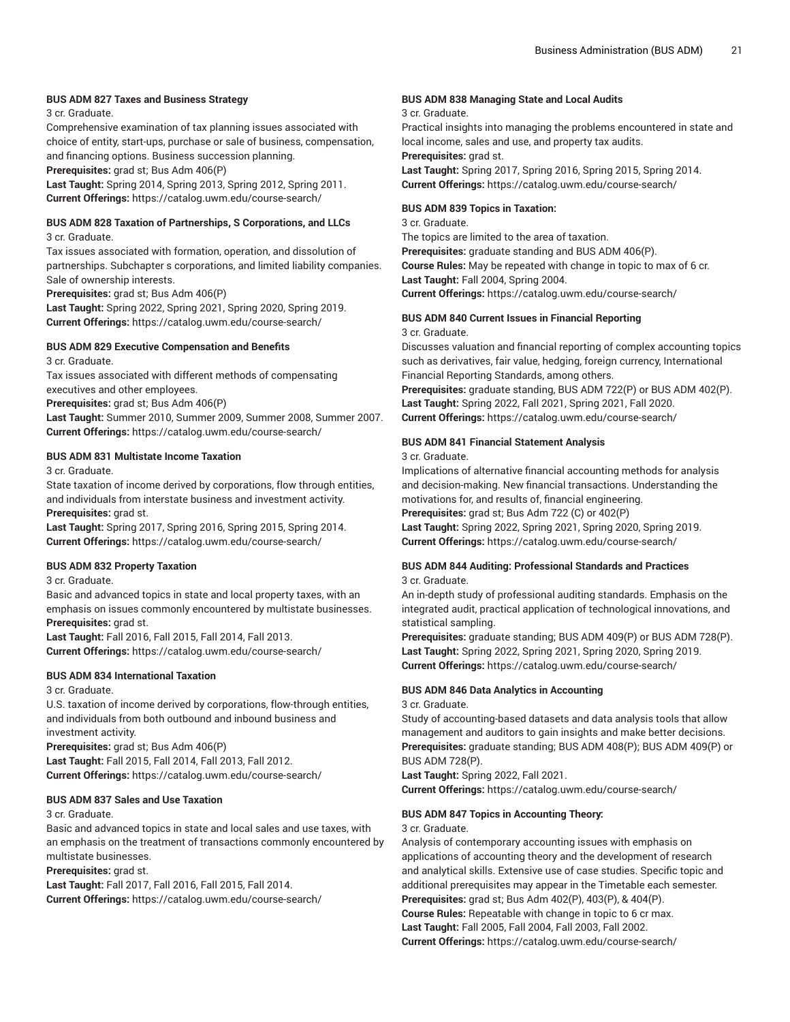#### **BUS ADM 827 Taxes and Business Strategy**

3 cr. Graduate.

Comprehensive examination of tax planning issues associated with choice of entity, start-ups, purchase or sale of business, compensation, and financing options. Business succession planning.

**Prerequisites:** grad st; Bus Adm 406(P)

**Last Taught:** Spring 2014, Spring 2013, Spring 2012, Spring 2011. **Current Offerings:** <https://catalog.uwm.edu/course-search/>

#### **BUS ADM 828 Taxation of Partnerships, S Corporations, and LLCs** 3 cr. Graduate.

Tax issues associated with formation, operation, and dissolution of partnerships. Subchapter s corporations, and limited liability companies. Sale of ownership interests.

**Prerequisites:** grad st; Bus Adm 406(P)

**Last Taught:** Spring 2022, Spring 2021, Spring 2020, Spring 2019. **Current Offerings:** <https://catalog.uwm.edu/course-search/>

#### **BUS ADM 829 Executive Compensation and Benefits**

3 cr. Graduate.

Tax issues associated with different methods of compensating executives and other employees.

**Prerequisites:** grad st; Bus Adm 406(P)

**Last Taught:** Summer 2010, Summer 2009, Summer 2008, Summer 2007. **Current Offerings:** <https://catalog.uwm.edu/course-search/>

#### **BUS ADM 831 Multistate Income Taxation**

3 cr. Graduate.

State taxation of income derived by corporations, flow through entities, and individuals from interstate business and investment activity. **Prerequisites:** grad st.

**Last Taught:** Spring 2017, Spring 2016, Spring 2015, Spring 2014. **Current Offerings:** <https://catalog.uwm.edu/course-search/>

#### **BUS ADM 832 Property Taxation**

3 cr. Graduate.

Basic and advanced topics in state and local property taxes, with an emphasis on issues commonly encountered by multistate businesses. **Prerequisites:** grad st.

**Last Taught:** Fall 2016, Fall 2015, Fall 2014, Fall 2013. **Current Offerings:** <https://catalog.uwm.edu/course-search/>

#### **BUS ADM 834 International Taxation**

3 cr. Graduate.

U.S. taxation of income derived by corporations, flow-through entities, and individuals from both outbound and inbound business and investment activity.

**Prerequisites:** grad st; Bus Adm 406(P) **Last Taught:** Fall 2015, Fall 2014, Fall 2013, Fall 2012. **Current Offerings:** <https://catalog.uwm.edu/course-search/>

#### **BUS ADM 837 Sales and Use Taxation**

3 cr. Graduate.

Basic and advanced topics in state and local sales and use taxes, with an emphasis on the treatment of transactions commonly encountered by multistate businesses.

**Prerequisites:** grad st.

**Last Taught:** Fall 2017, Fall 2016, Fall 2015, Fall 2014. **Current Offerings:** <https://catalog.uwm.edu/course-search/>

#### **BUS ADM 838 Managing State and Local Audits**

#### 3 cr. Graduate.

Practical insights into managing the problems encountered in state and local income, sales and use, and property tax audits. **Prerequisites:** grad st.

**Last Taught:** Spring 2017, Spring 2016, Spring 2015, Spring 2014.

**Current Offerings:** <https://catalog.uwm.edu/course-search/>

#### **BUS ADM 839 Topics in Taxation:**

3 cr. Graduate.

The topics are limited to the area of taxation.

**Prerequisites:** graduate standing and BUS ADM 406(P).

**Course Rules:** May be repeated with change in topic to max of 6 cr. **Last Taught:** Fall 2004, Spring 2004.

**Current Offerings:** <https://catalog.uwm.edu/course-search/>

#### **BUS ADM 840 Current Issues in Financial Reporting**

3 cr. Graduate.

Discusses valuation and financial reporting of complex accounting topics such as derivatives, fair value, hedging, foreign currency, International Financial Reporting Standards, among others. **Prerequisites:** graduate standing, BUS ADM 722(P) or BUS ADM 402(P).

**Last Taught:** Spring 2022, Fall 2021, Spring 2021, Fall 2020. **Current Offerings:** <https://catalog.uwm.edu/course-search/>

#### **BUS ADM 841 Financial Statement Analysis**

3 cr. Graduate.

Implications of alternative financial accounting methods for analysis and decision-making. New financial transactions. Understanding the motivations for, and results of, financial engineering. **Prerequisites:** grad st; Bus Adm 722 (C) or 402(P) **Last Taught:** Spring 2022, Spring 2021, Spring 2020, Spring 2019. **Current Offerings:** <https://catalog.uwm.edu/course-search/>

#### **BUS ADM 844 Auditing: Professional Standards and Practices**

3 cr. Graduate.

An in-depth study of professional auditing standards. Emphasis on the integrated audit, practical application of technological innovations, and statistical sampling.

**Prerequisites:** graduate standing; BUS ADM 409(P) or BUS ADM 728(P). **Last Taught:** Spring 2022, Spring 2021, Spring 2020, Spring 2019. **Current Offerings:** <https://catalog.uwm.edu/course-search/>

#### **BUS ADM 846 Data Analytics in Accounting**

3 cr. Graduate.

Study of accounting-based datasets and data analysis tools that allow management and auditors to gain insights and make better decisions. **Prerequisites:** graduate standing; BUS ADM 408(P); BUS ADM 409(P) or BUS ADM 728(P).

**Last Taught:** Spring 2022, Fall 2021. **Current Offerings:** <https://catalog.uwm.edu/course-search/>

#### **BUS ADM 847 Topics in Accounting Theory:**

#### 3 cr. Graduate.

Analysis of contemporary accounting issues with emphasis on applications of accounting theory and the development of research and analytical skills. Extensive use of case studies. Specific topic and additional prerequisites may appear in the Timetable each semester. **Prerequisites:** grad st; Bus Adm 402(P), 403(P), & 404(P). **Course Rules:** Repeatable with change in topic to 6 cr max. **Last Taught:** Fall 2005, Fall 2004, Fall 2003, Fall 2002.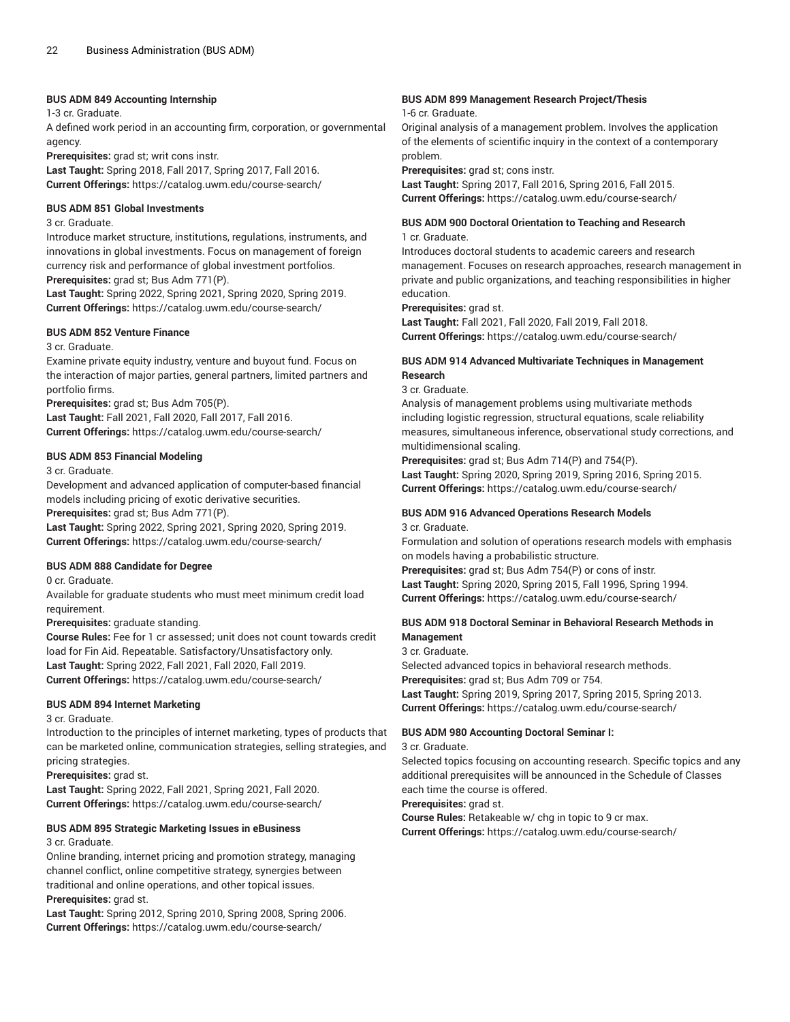#### **BUS ADM 849 Accounting Internship**

1-3 cr. Graduate.

A defined work period in an accounting firm, corporation, or governmental agency.

**Prerequisites:** grad st; writ cons instr.

**Last Taught:** Spring 2018, Fall 2017, Spring 2017, Fall 2016. **Current Offerings:** <https://catalog.uwm.edu/course-search/>

#### **BUS ADM 851 Global Investments**

3 cr. Graduate.

Introduce market structure, institutions, regulations, instruments, and innovations in global investments. Focus on management of foreign currency risk and performance of global investment portfolios. **Prerequisites:** grad st; Bus Adm 771(P).

**Last Taught:** Spring 2022, Spring 2021, Spring 2020, Spring 2019. **Current Offerings:** <https://catalog.uwm.edu/course-search/>

#### **BUS ADM 852 Venture Finance**

3 cr. Graduate.

Examine private equity industry, venture and buyout fund. Focus on the interaction of major parties, general partners, limited partners and portfolio firms.

**Prerequisites:** grad st; Bus Adm 705(P).

**Last Taught:** Fall 2021, Fall 2020, Fall 2017, Fall 2016. **Current Offerings:** <https://catalog.uwm.edu/course-search/>

#### **BUS ADM 853 Financial Modeling**

3 cr. Graduate.

Development and advanced application of computer-based financial models including pricing of exotic derivative securities.

**Prerequisites:** grad st; Bus Adm 771(P).

**Last Taught:** Spring 2022, Spring 2021, Spring 2020, Spring 2019. **Current Offerings:** <https://catalog.uwm.edu/course-search/>

#### **BUS ADM 888 Candidate for Degree**

0 cr. Graduate.

Available for graduate students who must meet minimum credit load requirement.

**Prerequisites:** graduate standing.

**Course Rules:** Fee for 1 cr assessed; unit does not count towards credit load for Fin Aid. Repeatable. Satisfactory/Unsatisfactory only. **Last Taught:** Spring 2022, Fall 2021, Fall 2020, Fall 2019. **Current Offerings:** <https://catalog.uwm.edu/course-search/>

#### **BUS ADM 894 Internet Marketing**

3 cr. Graduate.

Introduction to the principles of internet marketing, types of products that can be marketed online, communication strategies, selling strategies, and pricing strategies.

**Prerequisites:** grad st.

**Last Taught:** Spring 2022, Fall 2021, Spring 2021, Fall 2020. **Current Offerings:** <https://catalog.uwm.edu/course-search/>

# **BUS ADM 895 Strategic Marketing Issues in eBusiness**

3 cr. Graduate.

Online branding, internet pricing and promotion strategy, managing channel conflict, online competitive strategy, synergies between traditional and online operations, and other topical issues.

**Prerequisites:** grad st.

**Last Taught:** Spring 2012, Spring 2010, Spring 2008, Spring 2006. **Current Offerings:** <https://catalog.uwm.edu/course-search/>

#### **BUS ADM 899 Management Research Project/Thesis**

1-6 cr. Graduate.

Original analysis of a management problem. Involves the application of the elements of scientific inquiry in the context of a contemporary problem.

**Prerequisites:** grad st; cons instr.

**Last Taught:** Spring 2017, Fall 2016, Spring 2016, Fall 2015. **Current Offerings:** <https://catalog.uwm.edu/course-search/>

# **BUS ADM 900 Doctoral Orientation to Teaching and Research**

1 cr. Graduate.

Introduces doctoral students to academic careers and research management. Focuses on research approaches, research management in private and public organizations, and teaching responsibilities in higher education.

**Prerequisites:** grad st.

**Last Taught:** Fall 2021, Fall 2020, Fall 2019, Fall 2018. **Current Offerings:** <https://catalog.uwm.edu/course-search/>

#### **BUS ADM 914 Advanced Multivariate Techniques in Management Research**

3 cr. Graduate.

Analysis of management problems using multivariate methods including logistic regression, structural equations, scale reliability measures, simultaneous inference, observational study corrections, and multidimensional scaling.

**Prerequisites:** grad st; Bus Adm 714(P) and 754(P). **Last Taught:** Spring 2020, Spring 2019, Spring 2016, Spring 2015. **Current Offerings:** <https://catalog.uwm.edu/course-search/>

#### **BUS ADM 916 Advanced Operations Research Models** 3 cr. Graduate.

Formulation and solution of operations research models with emphasis on models having a probabilistic structure.

**Prerequisites:** grad st; Bus Adm 754(P) or cons of instr. **Last Taught:** Spring 2020, Spring 2015, Fall 1996, Spring 1994. **Current Offerings:** <https://catalog.uwm.edu/course-search/>

#### **BUS ADM 918 Doctoral Seminar in Behavioral Research Methods in Management**

3 cr. Graduate.

Selected advanced topics in behavioral research methods. **Prerequisites:** grad st; Bus Adm 709 or 754. **Last Taught:** Spring 2019, Spring 2017, Spring 2015, Spring 2013. **Current Offerings:** <https://catalog.uwm.edu/course-search/>

#### **BUS ADM 980 Accounting Doctoral Seminar I:**

3 cr. Graduate.

Selected topics focusing on accounting research. Specific topics and any additional prerequisites will be announced in the Schedule of Classes each time the course is offered.

**Prerequisites:** grad st.

**Course Rules:** Retakeable w/ chg in topic to 9 cr max.